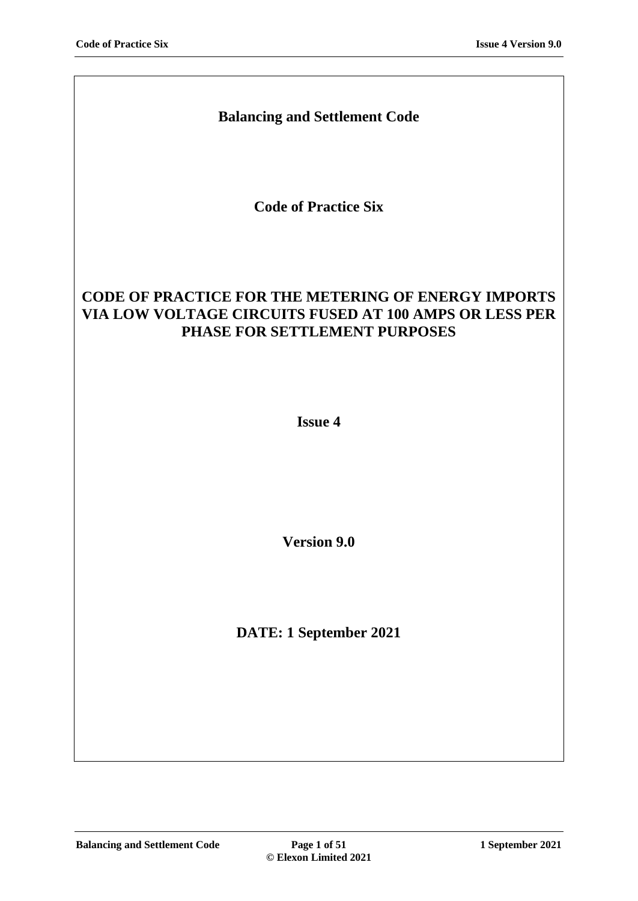# **Balancing and Settlement Code**

**Code of Practice Six**

# **CODE OF PRACTICE FOR THE METERING OF ENERGY IMPORTS VIA LOW VOLTAGE CIRCUITS FUSED AT 100 AMPS OR LESS PER PHASE FOR SETTLEMENT PURPOSES**

**Issue 4**

**Version 9.0**

**DATE: 1 September 2021**

**Balancing and Settlement Code Page 1 of 51 1 September 2021**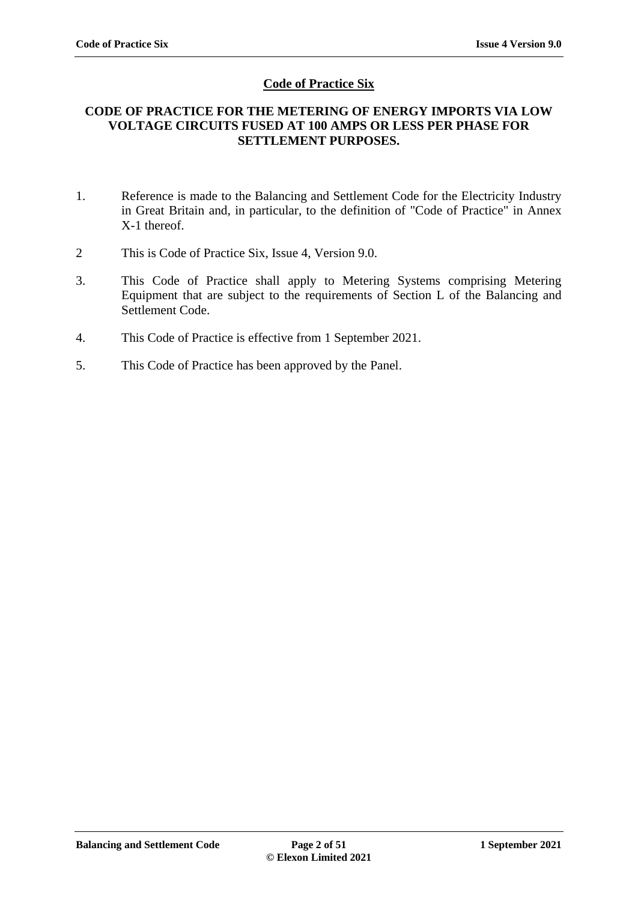# **Code of Practice Six**

### **CODE OF PRACTICE FOR THE METERING OF ENERGY IMPORTS VIA LOW VOLTAGE CIRCUITS FUSED AT 100 AMPS OR LESS PER PHASE FOR SETTLEMENT PURPOSES.**

- 1. Reference is made to the Balancing and Settlement Code for the Electricity Industry in Great Britain and, in particular, to the definition of "Code of Practice" in Annex X-1 thereof.
- 2 This is Code of Practice Six, Issue 4, Version 9.0.
- 3. This Code of Practice shall apply to Metering Systems comprising Metering Equipment that are subject to the requirements of Section L of the Balancing and Settlement Code.
- 4. This Code of Practice is effective from 1 September 2021.
- 5. This Code of Practice has been approved by the Panel.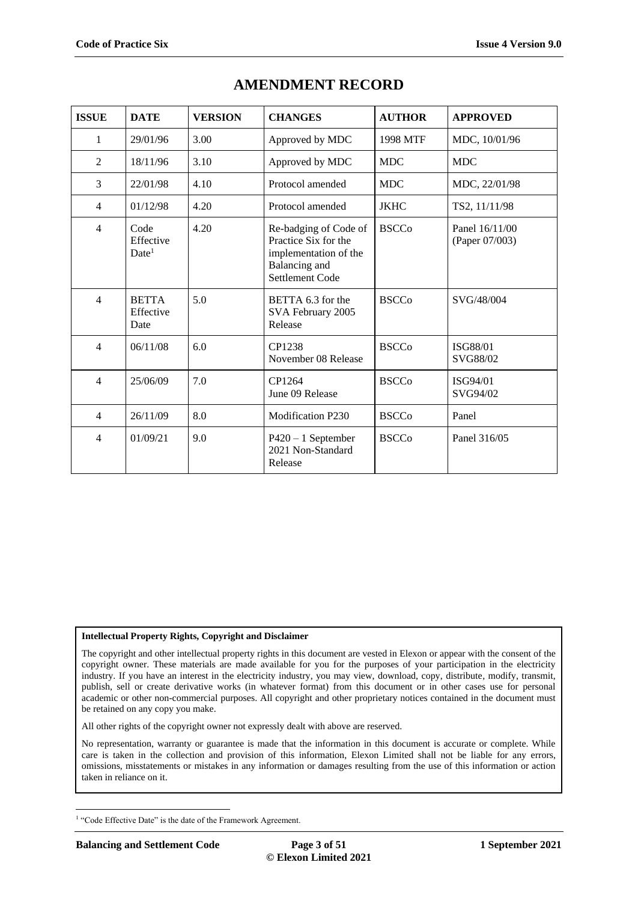| <b>ISSUE</b>   | <b>DATE</b>                            | <b>VERSION</b> | <b>CHANGES</b>                                                                                             | <b>AUTHOR</b> | <b>APPROVED</b>                  |
|----------------|----------------------------------------|----------------|------------------------------------------------------------------------------------------------------------|---------------|----------------------------------|
| 1              | 29/01/96                               | 3.00           | Approved by MDC                                                                                            | 1998 MTF      | MDC, 10/01/96                    |
| 2              | 18/11/96                               | 3.10           | Approved by MDC                                                                                            | <b>MDC</b>    | <b>MDC</b>                       |
| 3              | 22/01/98                               | 4.10           | Protocol amended                                                                                           | <b>MDC</b>    | MDC, 22/01/98                    |
| 4              | 01/12/98                               | 4.20           | Protocol amended                                                                                           | <b>JKHC</b>   | TS2, 11/11/98                    |
| $\overline{4}$ | Code<br>Effective<br>Date <sup>1</sup> | 4.20           | Re-badging of Code of<br>Practice Six for the<br>implementation of the<br>Balancing and<br>Settlement Code | <b>BSCCo</b>  | Panel 16/11/00<br>(Paper 07/003) |
| $\overline{4}$ | <b>BETTA</b><br>Effective<br>Date      | 5.0            | BETTA 6.3 for the<br>SVA February 2005<br>Release                                                          | <b>BSCCo</b>  | SVG/48/004                       |
| $\overline{4}$ | 06/11/08                               | 6.0            | CP1238<br>November 08 Release                                                                              | <b>BSCCo</b>  | <b>ISG88/01</b><br>SVG88/02      |
| $\overline{4}$ | 25/06/09                               | 7.0            | CP1264<br>June 09 Release                                                                                  | <b>BSCCo</b>  | ISG94/01<br>SVG94/02             |
| $\overline{4}$ | 26/11/09                               | 8.0            | <b>Modification P230</b>                                                                                   | <b>BSCCo</b>  | Panel                            |
| $\overline{4}$ | 01/09/21                               | 9.0            | $P420 - 1$ September<br>2021 Non-Standard<br>Release                                                       | <b>BSCCo</b>  | Panel 316/05                     |

# **AMENDMENT RECORD**

#### **Intellectual Property Rights, Copyright and Disclaimer**

The copyright and other intellectual property rights in this document are vested in Elexon or appear with the consent of the copyright owner. These materials are made available for you for the purposes of your participation in the electricity industry. If you have an interest in the electricity industry, you may view, download, copy, distribute, modify, transmit, publish, sell or create derivative works (in whatever format) from this document or in other cases use for personal academic or other non-commercial purposes. All copyright and other proprietary notices contained in the document must be retained on any copy you make.

All other rights of the copyright owner not expressly dealt with above are reserved.

No representation, warranty or guarantee is made that the information in this document is accurate or complete. While care is taken in the collection and provision of this information, Elexon Limited shall not be liable for any errors, omissions, misstatements or mistakes in any information or damages resulting from the use of this information or action taken in reliance on it.

<sup>1</sup> <sup>1</sup> "Code Effective Date" is the date of the Framework Agreement.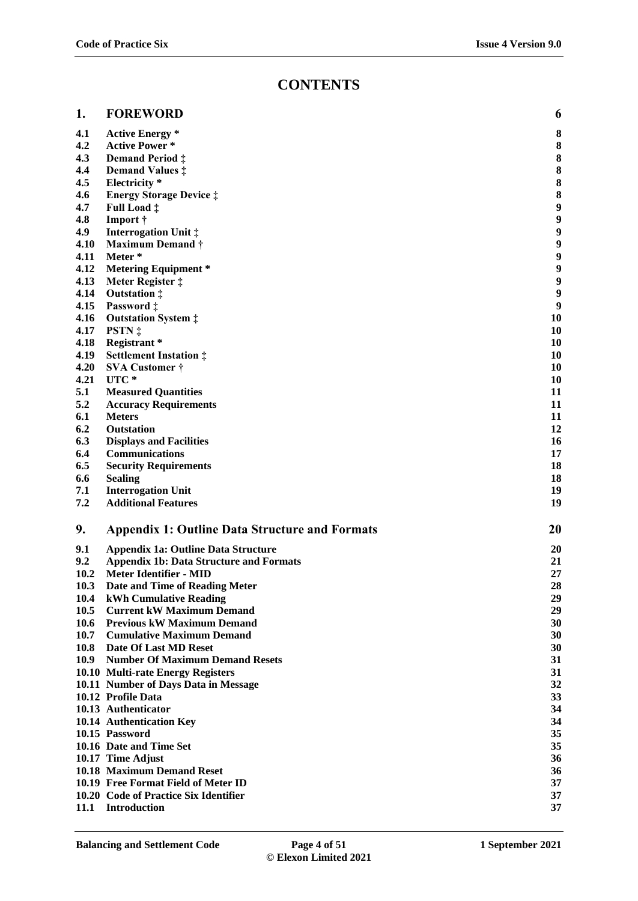# **CONTENTS**

| 1.           | <b>FOREWORD</b>                                       | 6      |
|--------------|-------------------------------------------------------|--------|
|              |                                                       |        |
| 4.1          | <b>Active Energy</b> *                                | 8      |
| 4.2          | <b>Active Power*</b>                                  | 8      |
| 4.3          | Demand Period $\ddagger$                              | 8      |
| 4.4<br>4.5   | Demand Values $\ddagger$                              | 8<br>8 |
|              | Electricity *                                         | 8      |
| 4.6<br>4.7   | <b>Energy Storage Device ‡</b>                        | 9      |
| 4.8          | Full Load $\ddagger$                                  | 9      |
|              | Import †                                              | 9      |
| 4.9          | <b>Interrogation Unit ‡</b>                           | 9      |
| 4.10<br>4.11 | <b>Maximum Demand †</b><br>Meter*                     | 9      |
| 4.12         | <b>Metering Equipment *</b>                           | 9      |
| 4.13         | Meter Register ‡                                      | 9      |
| 4.14         | Outstation $\ddagger$                                 | 9      |
| 4.15         | Password ‡                                            | 9      |
| 4.16         | <b>Outstation System :</b>                            | 10     |
| 4.17         | PSTN ‡                                                | 10     |
| 4.18         | Registrant*                                           | 10     |
| 4.19         | <b>Settlement Instation:</b>                          | 10     |
| 4.20         | <b>SVA Customer</b> †                                 | 10     |
| 4.21         | UTC*                                                  | 10     |
| 5.1          | <b>Measured Quantities</b>                            | 11     |
| 5.2          | <b>Accuracy Requirements</b>                          | 11     |
| 6.1          | <b>Meters</b>                                         | 11     |
| 6.2          | <b>Outstation</b>                                     | 12     |
| 6.3          | <b>Displays and Facilities</b>                        | 16     |
| 6.4          | <b>Communications</b>                                 | 17     |
| 6.5          | <b>Security Requirements</b>                          | 18     |
| 6.6          | <b>Sealing</b>                                        | 18     |
| 7.1          | <b>Interrogation Unit</b>                             | 19     |
| 7.2          | <b>Additional Features</b>                            | 19     |
| 9.           | <b>Appendix 1: Outline Data Structure and Formats</b> | 20     |
| 9.1          | <b>Appendix 1a: Outline Data Structure</b>            | 20     |
| 9.2          | <b>Appendix 1b: Data Structure and Formats</b>        | 21     |
| 10.2         | <b>Meter Identifier - MID</b>                         | 27     |
| 10.3         | Date and Time of Reading Meter                        | 28     |
| 10.4         | <b>kWh Cumulative Reading</b>                         | 29     |
| 10.5         | <b>Current kW Maximum Demand</b>                      | 29     |
| 10.6         | <b>Previous kW Maximum Demand</b>                     | 30     |
| 10.7         | <b>Cumulative Maximum Demand</b>                      | 30     |
| 10.8         | <b>Date Of Last MD Reset</b>                          | 30     |
| 10.9         | <b>Number Of Maximum Demand Resets</b>                | 31     |
|              | 10.10 Multi-rate Energy Registers                     | 31     |
|              | 10.11 Number of Days Data in Message                  | 32     |
|              | 10.12 Profile Data                                    | 33     |
|              | 10.13 Authenticator                                   | 34     |
|              | 10.14 Authentication Key                              | 34     |
|              | 10.15 Password                                        | 35     |
|              | 10.16 Date and Time Set                               | 35     |
|              | 10.17 Time Adjust                                     | 36     |
|              | 10.18 Maximum Demand Reset                            | 36     |
|              | 10.19 Free Format Field of Meter ID                   | 37     |
|              | 10.20 Code of Practice Six Identifier                 | 37     |
| 11.1         | Introduction                                          | 37     |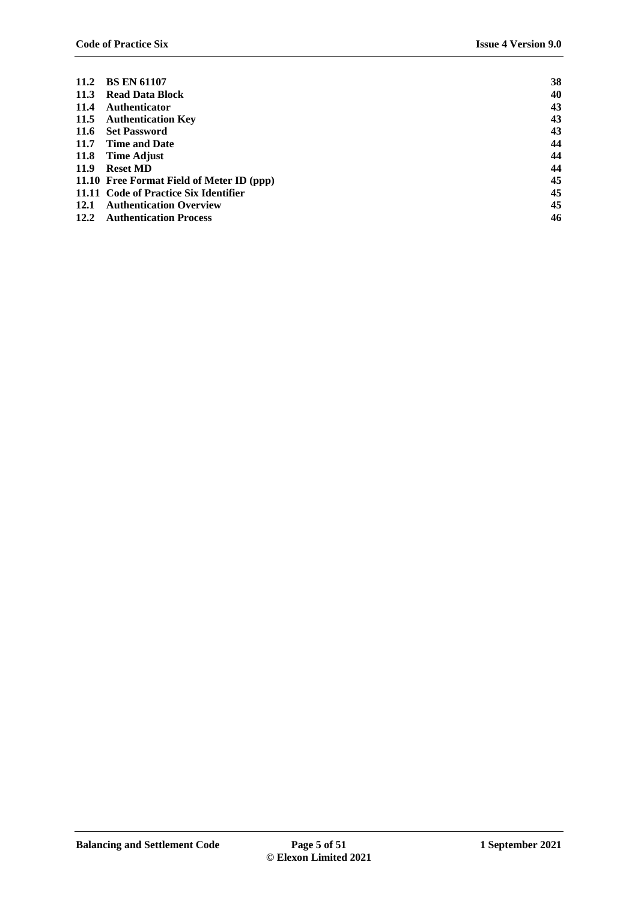| 11.2 | <b>BS EN 61107</b>                        | 38 |
|------|-------------------------------------------|----|
|      | 11.3 Read Data Block                      | 40 |
| 11.4 | Authenticator                             | 43 |
|      | 11.5 Authentication Key                   | 43 |
|      | 11.6 Set Password                         | 43 |
|      | 11.7 Time and Date                        | 44 |
|      | 11.8 Time Adjust                          | 44 |
| 11.9 | <b>Reset MD</b>                           | 44 |
|      | 11.10 Free Format Field of Meter ID (ppp) | 45 |
|      | 11.11 Code of Practice Six Identifier     | 45 |
| 12.1 | <b>Authentication Overview</b>            | 45 |
| 12.2 | <b>Authentication Process</b>             | 46 |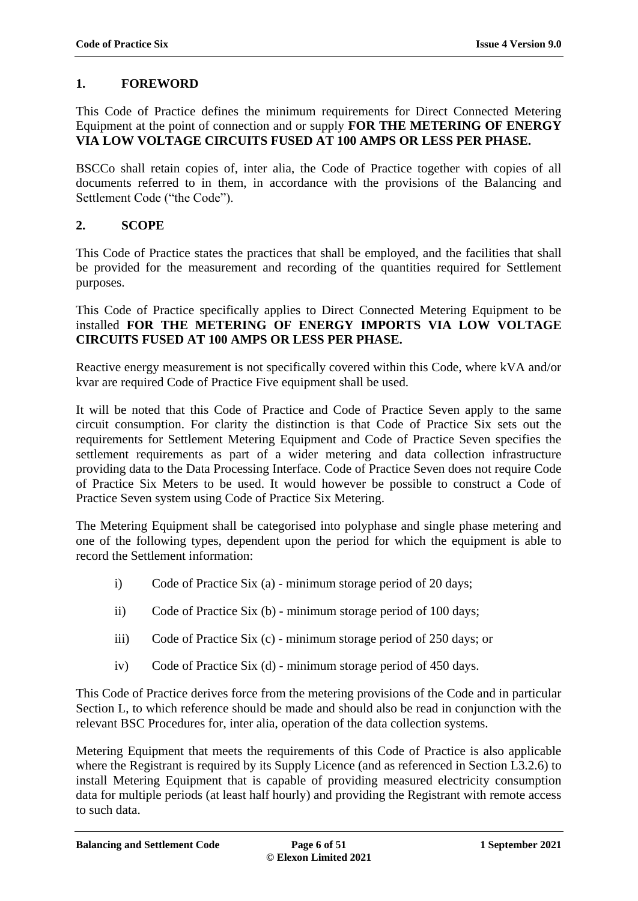# <span id="page-5-0"></span>**1. FOREWORD**

This Code of Practice defines the minimum requirements for Direct Connected Metering Equipment at the point of connection and or supply **FOR THE METERING OF ENERGY VIA LOW VOLTAGE CIRCUITS FUSED AT 100 AMPS OR LESS PER PHASE.**

BSCCo shall retain copies of, inter alia, the Code of Practice together with copies of all documents referred to in them, in accordance with the provisions of the Balancing and Settlement Code ("the Code").

# **2. SCOPE**

This Code of Practice states the practices that shall be employed, and the facilities that shall be provided for the measurement and recording of the quantities required for Settlement purposes.

This Code of Practice specifically applies to Direct Connected Metering Equipment to be installed **FOR THE METERING OF ENERGY IMPORTS VIA LOW VOLTAGE CIRCUITS FUSED AT 100 AMPS OR LESS PER PHASE.**

Reactive energy measurement is not specifically covered within this Code, where kVA and/or kvar are required Code of Practice Five equipment shall be used.

It will be noted that this Code of Practice and Code of Practice Seven apply to the same circuit consumption. For clarity the distinction is that Code of Practice Six sets out the requirements for Settlement Metering Equipment and Code of Practice Seven specifies the settlement requirements as part of a wider metering and data collection infrastructure providing data to the Data Processing Interface. Code of Practice Seven does not require Code of Practice Six Meters to be used. It would however be possible to construct a Code of Practice Seven system using Code of Practice Six Metering.

The Metering Equipment shall be categorised into polyphase and single phase metering and one of the following types, dependent upon the period for which the equipment is able to record the Settlement information:

- i) Code of Practice Six (a) minimum storage period of 20 days;
- ii) Code of Practice Six (b) minimum storage period of 100 days;
- iii) Code of Practice Six (c) minimum storage period of 250 days; or
- iv) Code of Practice Six (d) minimum storage period of 450 days.

This Code of Practice derives force from the metering provisions of the Code and in particular Section L, to which reference should be made and should also be read in conjunction with the relevant BSC Procedures for, inter alia, operation of the data collection systems.

Metering Equipment that meets the requirements of this Code of Practice is also applicable where the Registrant is required by its Supply Licence (and as referenced in Section L3.2.6) to install Metering Equipment that is capable of providing measured electricity consumption data for multiple periods (at least half hourly) and providing the Registrant with remote access to such data.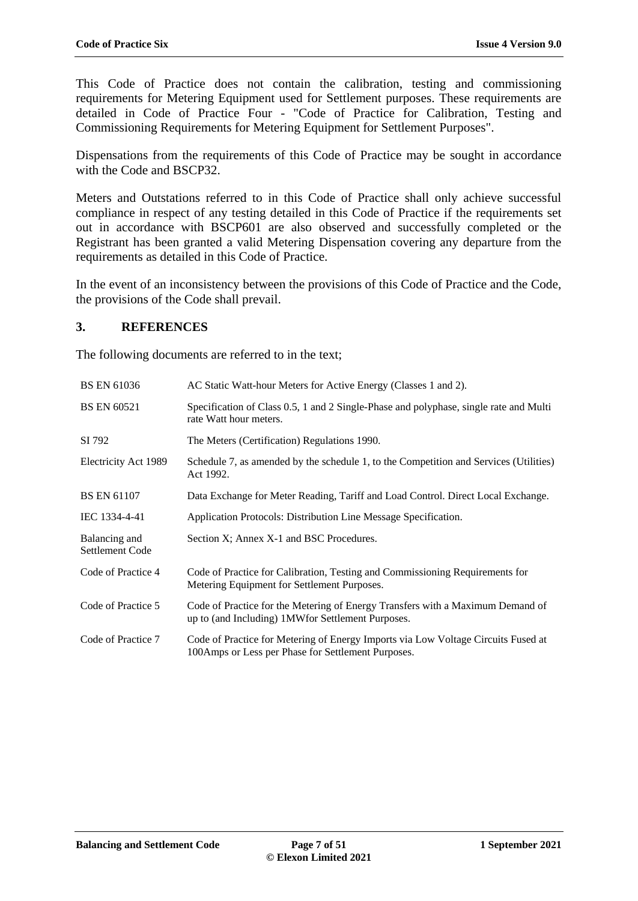This Code of Practice does not contain the calibration, testing and commissioning requirements for Metering Equipment used for Settlement purposes. These requirements are detailed in Code of Practice Four - "Code of Practice for Calibration, Testing and Commissioning Requirements for Metering Equipment for Settlement Purposes".

Dispensations from the requirements of this Code of Practice may be sought in accordance with the Code and BSCP32.

Meters and Outstations referred to in this Code of Practice shall only achieve successful compliance in respect of any testing detailed in this Code of Practice if the requirements set out in accordance with BSCP601 are also observed and successfully completed or the Registrant has been granted a valid Metering Dispensation covering any departure from the requirements as detailed in this Code of Practice.

In the event of an inconsistency between the provisions of this Code of Practice and the Code, the provisions of the Code shall prevail.

# **3. REFERENCES**

The following documents are referred to in the text;

| <b>BS EN 61036</b>               | AC Static Watt-hour Meters for Active Energy (Classes 1 and 2).                                                                         |
|----------------------------------|-----------------------------------------------------------------------------------------------------------------------------------------|
| <b>BS EN 60521</b>               | Specification of Class 0.5, 1 and 2 Single-Phase and polyphase, single rate and Multi<br>rate Watt hour meters.                         |
| SI 792                           | The Meters (Certification) Regulations 1990.                                                                                            |
| Electricity Act 1989             | Schedule 7, as amended by the schedule 1, to the Competition and Services (Utilities)<br>Act 1992.                                      |
| <b>BS EN 61107</b>               | Data Exchange for Meter Reading, Tariff and Load Control. Direct Local Exchange.                                                        |
| IEC 1334-4-41                    | Application Protocols: Distribution Line Message Specification.                                                                         |
| Balancing and<br>Settlement Code | Section X; Annex X-1 and BSC Procedures.                                                                                                |
| Code of Practice 4               | Code of Practice for Calibration, Testing and Commissioning Requirements for<br>Metering Equipment for Settlement Purposes.             |
| Code of Practice 5               | Code of Practice for the Metering of Energy Transfers with a Maximum Demand of<br>up to (and Including) 1MW for Settlement Purposes.    |
| Code of Practice 7               | Code of Practice for Metering of Energy Imports via Low Voltage Circuits Fused at<br>100Amps or Less per Phase for Settlement Purposes. |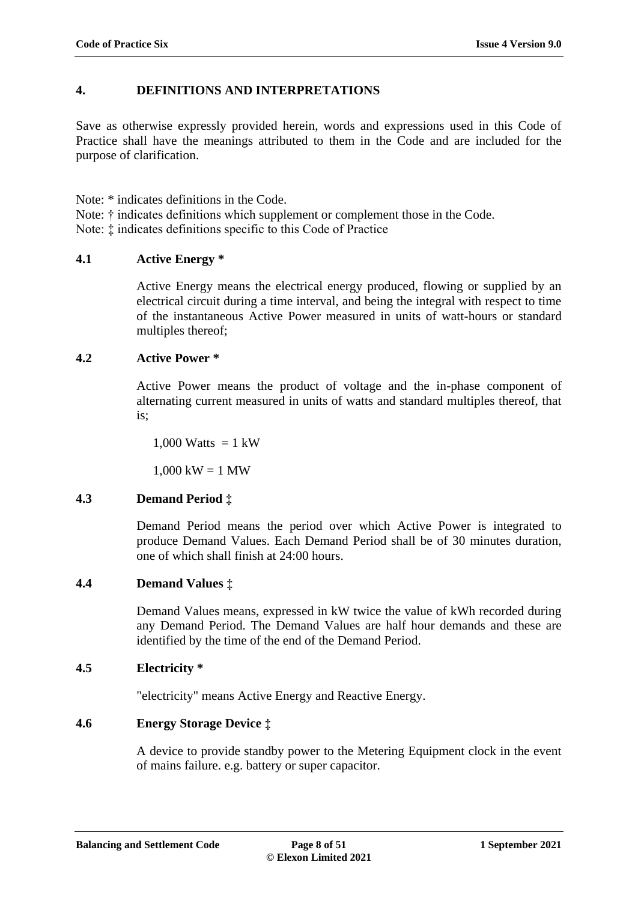# **4. DEFINITIONS AND INTERPRETATIONS**

Save as otherwise expressly provided herein, words and expressions used in this Code of Practice shall have the meanings attributed to them in the Code and are included for the purpose of clarification.

Note: \* indicates definitions in the Code.

Note: † indicates definitions which supplement or complement those in the Code.

Note: ‡ indicates definitions specific to this Code of Practice

# <span id="page-7-0"></span>**4.1 Active Energy \***

Active Energy means the electrical energy produced, flowing or supplied by an electrical circuit during a time interval, and being the integral with respect to time of the instantaneous Active Power measured in units of watt-hours or standard multiples thereof;

### <span id="page-7-1"></span>**4.2 Active Power \***

Active Power means the product of voltage and the in-phase component of alternating current measured in units of watts and standard multiples thereof, that is;

1,000 Watts  $= 1 \text{ kW}$ 

 $1,000 \text{ kW} = 1 \text{ MW}$ 

# <span id="page-7-2"></span>**4.3 Demand Period ‡**

Demand Period means the period over which Active Power is integrated to produce Demand Values. Each Demand Period shall be of 30 minutes duration, one of which shall finish at 24:00 hours.

# <span id="page-7-3"></span>**4.4 Demand Values ‡**

Demand Values means, expressed in kW twice the value of kWh recorded during any Demand Period. The Demand Values are half hour demands and these are identified by the time of the end of the Demand Period.

# <span id="page-7-4"></span>**4.5 Electricity \***

"electricity" means Active Energy and Reactive Energy.

# <span id="page-7-5"></span>**4.6 Energy Storage Device ‡**

A device to provide standby power to the Metering Equipment clock in the event of mains failure. e.g. battery or super capacitor.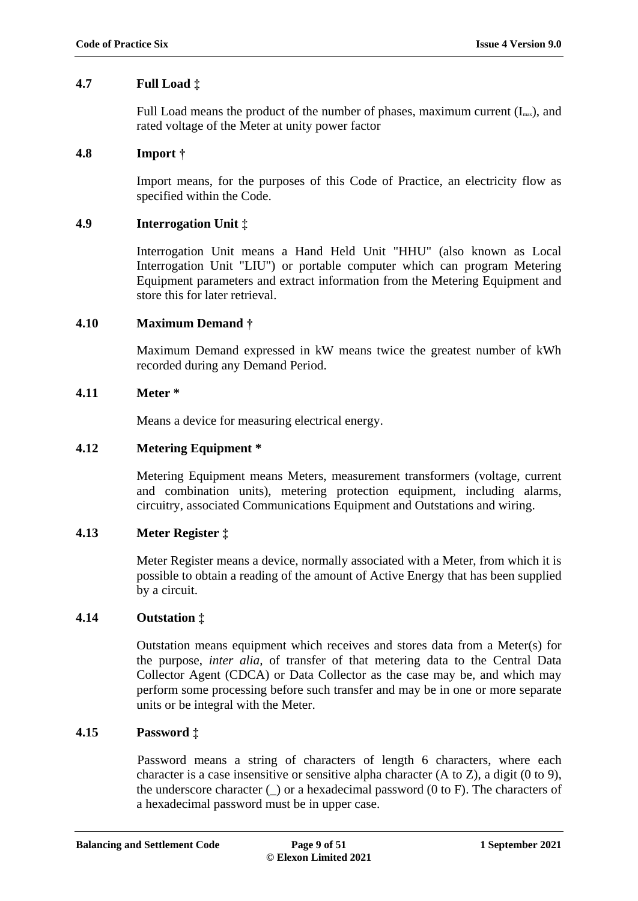# <span id="page-8-0"></span>**4.7 Full Load ‡**

Full Load means the product of the number of phases, maximum current  $(I<sub>max</sub>)$ , and rated voltage of the Meter at unity power factor

### <span id="page-8-1"></span>**4.8 Import †**

Import means, for the purposes of this Code of Practice, an electricity flow as specified within the Code.

#### <span id="page-8-2"></span>**4.9 Interrogation Unit ‡**

Interrogation Unit means a Hand Held Unit "HHU" (also known as Local Interrogation Unit "LIU") or portable computer which can program Metering Equipment parameters and extract information from the Metering Equipment and store this for later retrieval.

### <span id="page-8-3"></span>**4.10 Maximum Demand †**

Maximum Demand expressed in kW means twice the greatest number of kWh recorded during any Demand Period.

### <span id="page-8-4"></span>**4.11 Meter \***

Means a device for measuring electrical energy.

# <span id="page-8-5"></span>**4.12 Metering Equipment \***

Metering Equipment means Meters, measurement transformers (voltage, current and combination units), metering protection equipment, including alarms, circuitry, associated Communications Equipment and Outstations and wiring.

#### <span id="page-8-6"></span>**4.13 Meter Register ‡**

Meter Register means a device, normally associated with a Meter, from which it is possible to obtain a reading of the amount of Active Energy that has been supplied by a circuit.

#### <span id="page-8-7"></span>**4.14 Outstation ‡**

Outstation means equipment which receives and stores data from a Meter(s) for the purpose, *inter alia,* of transfer of that metering data to the Central Data Collector Agent (CDCA) or Data Collector as the case may be, and which may perform some processing before such transfer and may be in one or more separate units or be integral with the Meter.

#### <span id="page-8-8"></span>**4.15 Password ‡**

Password means a string of characters of length 6 characters, where each character is a case insensitive or sensitive alpha character (A to Z), a digit (0 to 9), the underscore character  $\Box$  or a hexadecimal password  $(0 \text{ to } F)$ . The characters of a hexadecimal password must be in upper case.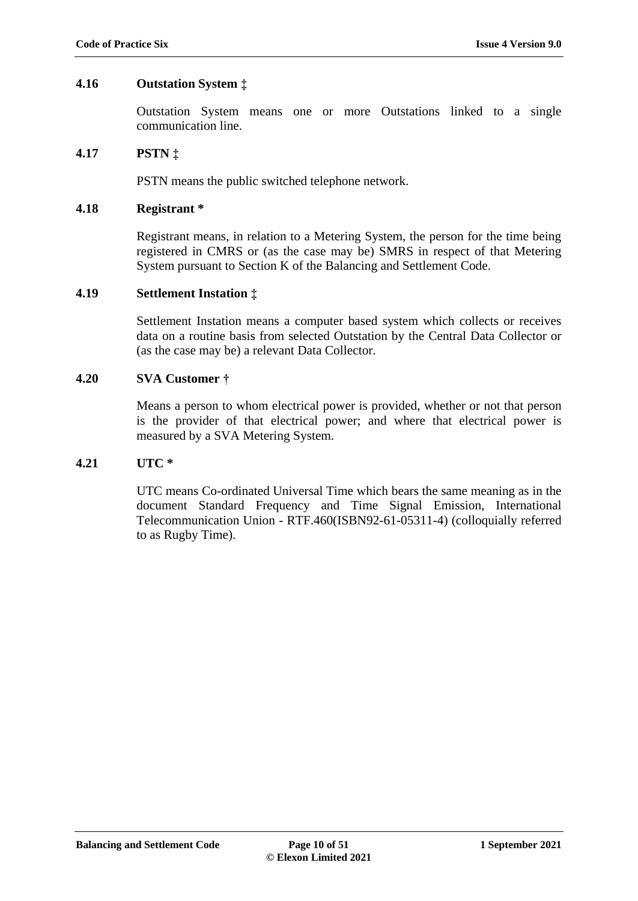#### <span id="page-9-0"></span>**4.16 Outstation System ‡**

Outstation System means one or more Outstations linked to a single communication line.

#### <span id="page-9-1"></span>**4.17 PSTN ‡**

PSTN means the public switched telephone network.

#### <span id="page-9-2"></span>**4.18 Registrant \***

Registrant means, in relation to a Metering System, the person for the time being registered in CMRS or (as the case may be) SMRS in respect of that Metering System pursuant to Section K of the Balancing and Settlement Code.

#### <span id="page-9-3"></span>**4.19 Settlement Instation ‡**

Settlement Instation means a computer based system which collects or receives data on a routine basis from selected Outstation by the Central Data Collector or (as the case may be) a relevant Data Collector.

#### <span id="page-9-4"></span>**4.20 SVA Customer †**

Means a person to whom electrical power is provided, whether or not that person is the provider of that electrical power; and where that electrical power is measured by a SVA Metering System.

#### <span id="page-9-5"></span>**4.21 UTC \***

UTC means Co-ordinated Universal Time which bears the same meaning as in the document Standard Frequency and Time Signal Emission, International Telecommunication Union - RTF.460(ISBN92-61-05311-4) (colloquially referred to as Rugby Time).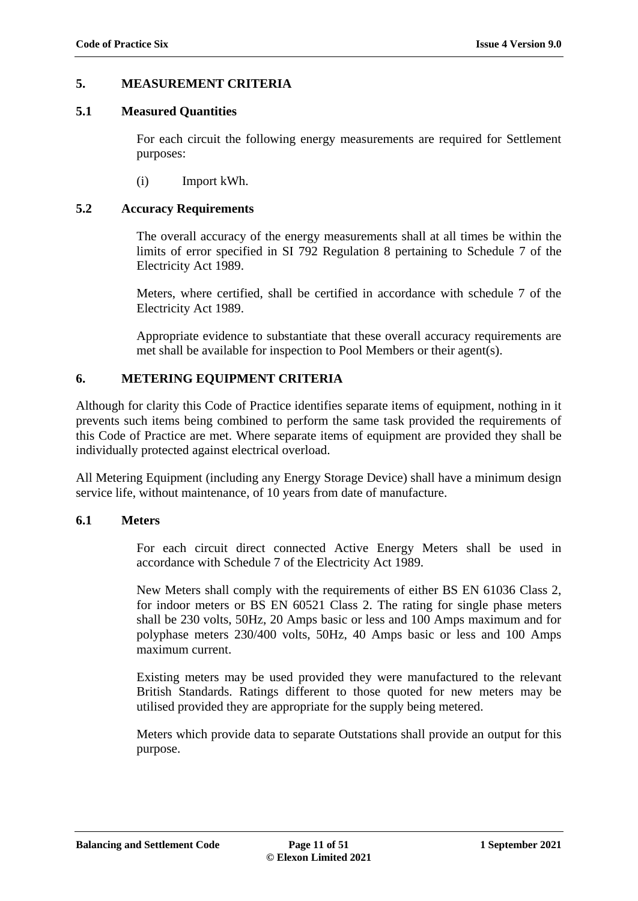#### **5. MEASUREMENT CRITERIA**

#### <span id="page-10-0"></span>**5.1 Measured Quantities**

For each circuit the following energy measurements are required for Settlement purposes:

(i) Import kWh.

#### <span id="page-10-1"></span>**5.2 Accuracy Requirements**

The overall accuracy of the energy measurements shall at all times be within the limits of error specified in SI 792 Regulation 8 pertaining to Schedule 7 of the Electricity Act 1989.

Meters, where certified, shall be certified in accordance with schedule 7 of the Electricity Act 1989.

Appropriate evidence to substantiate that these overall accuracy requirements are met shall be available for inspection to Pool Members or their agent(s).

### **6. METERING EQUIPMENT CRITERIA**

Although for clarity this Code of Practice identifies separate items of equipment, nothing in it prevents such items being combined to perform the same task provided the requirements of this Code of Practice are met. Where separate items of equipment are provided they shall be individually protected against electrical overload.

All Metering Equipment (including any Energy Storage Device) shall have a minimum design service life, without maintenance, of 10 years from date of manufacture.

#### <span id="page-10-2"></span>**6.1 Meters**

For each circuit direct connected Active Energy Meters shall be used in accordance with Schedule 7 of the Electricity Act 1989.

New Meters shall comply with the requirements of either BS EN 61036 Class 2, for indoor meters or BS EN 60521 Class 2. The rating for single phase meters shall be 230 volts, 50Hz, 20 Amps basic or less and 100 Amps maximum and for polyphase meters 230/400 volts, 50Hz, 40 Amps basic or less and 100 Amps maximum current.

Existing meters may be used provided they were manufactured to the relevant British Standards. Ratings different to those quoted for new meters may be utilised provided they are appropriate for the supply being metered.

Meters which provide data to separate Outstations shall provide an output for this purpose.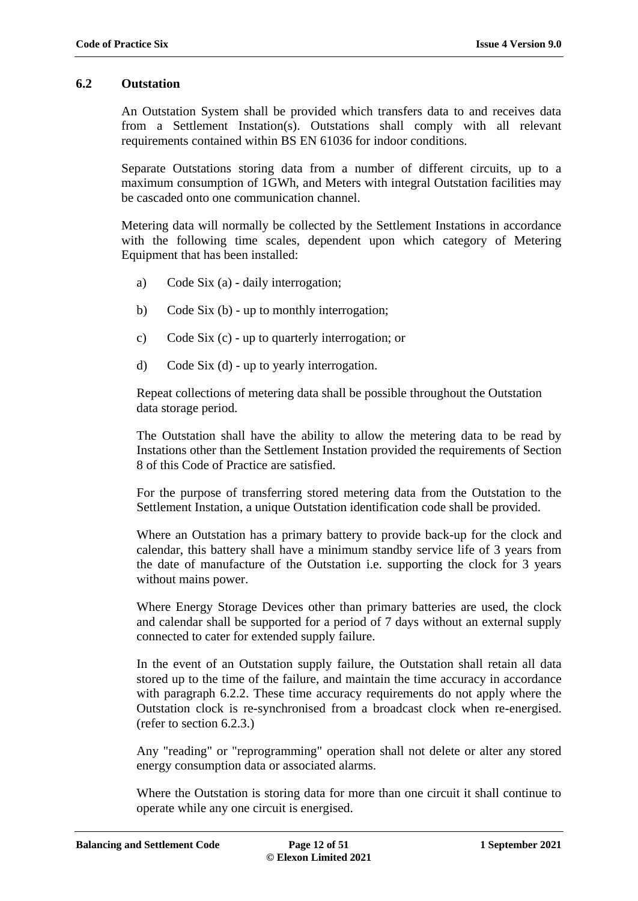#### <span id="page-11-0"></span>**6.2 Outstation**

An Outstation System shall be provided which transfers data to and receives data from a Settlement Instation(s). Outstations shall comply with all relevant requirements contained within BS EN 61036 for indoor conditions.

Separate Outstations storing data from a number of different circuits, up to a maximum consumption of 1GWh, and Meters with integral Outstation facilities may be cascaded onto one communication channel.

Metering data will normally be collected by the Settlement Instations in accordance with the following time scales, dependent upon which category of Metering Equipment that has been installed:

- a) Code Six (a) daily interrogation;
- b) Code Six (b) up to monthly interrogation;
- c) Code Six (c) up to quarterly interrogation; or
- d) Code Six (d) up to yearly interrogation.

Repeat collections of metering data shall be possible throughout the Outstation data storage period.

The Outstation shall have the ability to allow the metering data to be read by Instations other than the Settlement Instation provided the requirements of Section 8 of this Code of Practice are satisfied.

For the purpose of transferring stored metering data from the Outstation to the Settlement Instation, a unique Outstation identification code shall be provided.

Where an Outstation has a primary battery to provide back-up for the clock and calendar, this battery shall have a minimum standby service life of 3 years from the date of manufacture of the Outstation i.e. supporting the clock for 3 years without mains power.

Where Energy Storage Devices other than primary batteries are used, the clock and calendar shall be supported for a period of 7 days without an external supply connected to cater for extended supply failure.

In the event of an Outstation supply failure, the Outstation shall retain all data stored up to the time of the failure, and maintain the time accuracy in accordance with paragraph 6.2.2. These time accuracy requirements do not apply where the Outstation clock is re-synchronised from a broadcast clock when re-energised. (refer to section 6.2.3.)

Any "reading" or "reprogramming" operation shall not delete or alter any stored energy consumption data or associated alarms.

Where the Outstation is storing data for more than one circuit it shall continue to operate while any one circuit is energised.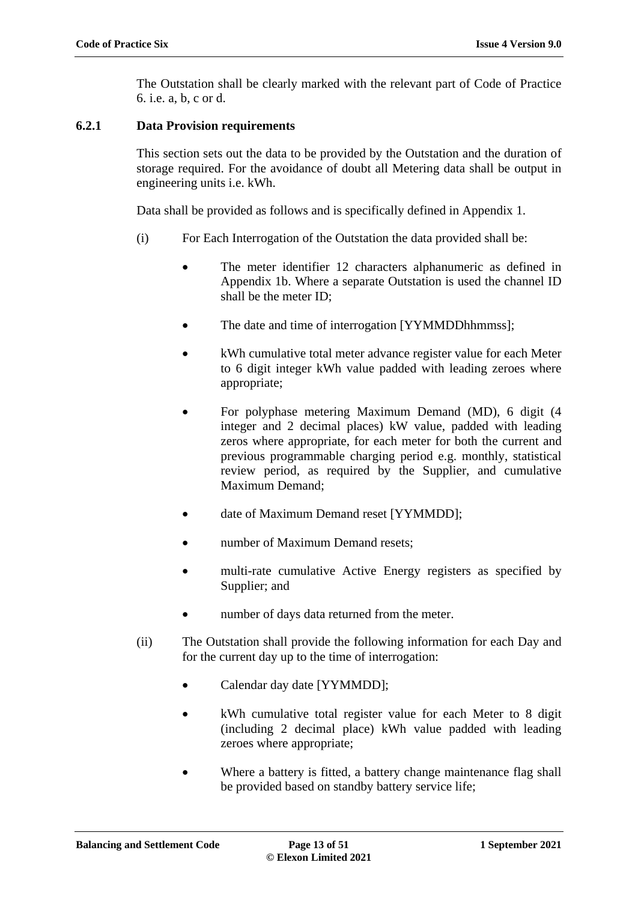The Outstation shall be clearly marked with the relevant part of Code of Practice 6. i.e. a, b, c or d.

### **6.2.1 Data Provision requirements**

This section sets out the data to be provided by the Outstation and the duration of storage required. For the avoidance of doubt all Metering data shall be output in engineering units i.e. kWh.

Data shall be provided as follows and is specifically defined in Appendix 1.

- (i) For Each Interrogation of the Outstation the data provided shall be:
	- The meter identifier 12 characters alphanumeric as defined in Appendix 1b. Where a separate Outstation is used the channel ID shall be the meter ID;
	- The date and time of interrogation [YYMMDDhhmmss];
	- kWh cumulative total meter advance register value for each Meter to 6 digit integer kWh value padded with leading zeroes where appropriate;
	- For polyphase metering Maximum Demand (MD), 6 digit (4 integer and 2 decimal places) kW value, padded with leading zeros where appropriate, for each meter for both the current and previous programmable charging period e.g. monthly, statistical review period, as required by the Supplier, and cumulative Maximum Demand;
	- date of Maximum Demand reset [YYMMDD];
	- number of Maximum Demand resets;
	- multi-rate cumulative Active Energy registers as specified by Supplier; and
	- number of days data returned from the meter.
- (ii) The Outstation shall provide the following information for each Day and for the current day up to the time of interrogation:
	- Calendar day date [YYMMDD];
	- kWh cumulative total register value for each Meter to 8 digit (including 2 decimal place) kWh value padded with leading zeroes where appropriate;
	- Where a battery is fitted, a battery change maintenance flag shall be provided based on standby battery service life;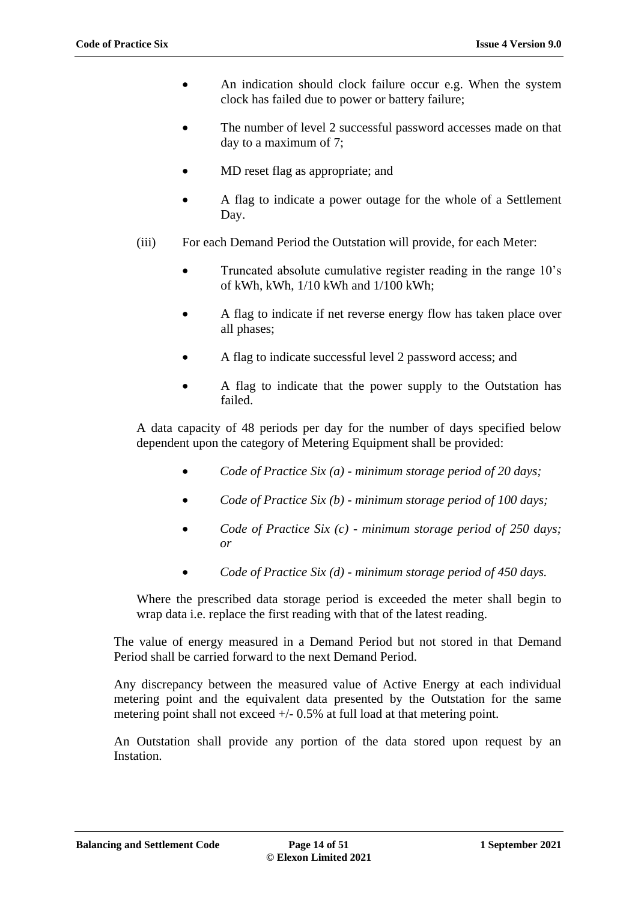- An indication should clock failure occur e.g. When the system clock has failed due to power or battery failure;
- The number of level 2 successful password accesses made on that day to a maximum of 7;
- MD reset flag as appropriate; and
- A flag to indicate a power outage for the whole of a Settlement Day.
- (iii) For each Demand Period the Outstation will provide, for each Meter:
	- Truncated absolute cumulative register reading in the range 10's of kWh, kWh, 1/10 kWh and 1/100 kWh;
	- A flag to indicate if net reverse energy flow has taken place over all phases;
	- A flag to indicate successful level 2 password access; and
	- A flag to indicate that the power supply to the Outstation has failed.

A data capacity of 48 periods per day for the number of days specified below dependent upon the category of Metering Equipment shall be provided:

- *Code of Practice Six (a) - minimum storage period of 20 days;*
- *Code of Practice Six (b) - minimum storage period of 100 days;*
- *Code of Practice Six (c) - minimum storage period of 250 days; or*
- *Code of Practice Six (d) - minimum storage period of 450 days.*

Where the prescribed data storage period is exceeded the meter shall begin to wrap data i.e. replace the first reading with that of the latest reading.

The value of energy measured in a Demand Period but not stored in that Demand Period shall be carried forward to the next Demand Period.

Any discrepancy between the measured value of Active Energy at each individual metering point and the equivalent data presented by the Outstation for the same metering point shall not exceed  $+/- 0.5\%$  at full load at that metering point.

An Outstation shall provide any portion of the data stored upon request by an Instation.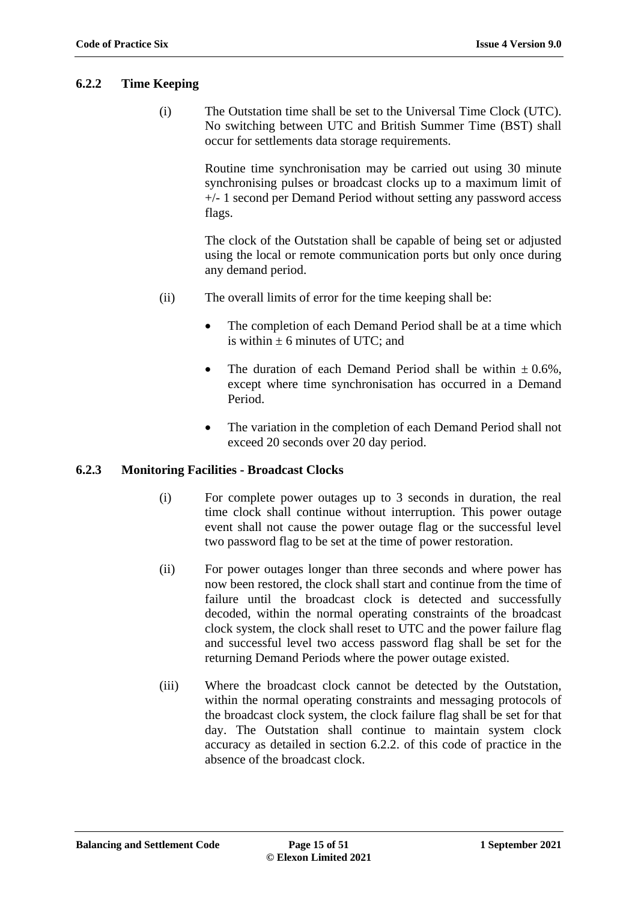#### **6.2.2 Time Keeping**

(i) The Outstation time shall be set to the Universal Time Clock (UTC). No switching between UTC and British Summer Time (BST) shall occur for settlements data storage requirements.

> Routine time synchronisation may be carried out using 30 minute synchronising pulses or broadcast clocks up to a maximum limit of +/- 1 second per Demand Period without setting any password access flags.

> The clock of the Outstation shall be capable of being set or adjusted using the local or remote communication ports but only once during any demand period.

- (ii) The overall limits of error for the time keeping shall be:
	- The completion of each Demand Period shall be at a time which is within  $\pm$  6 minutes of UTC; and
	- The duration of each Demand Period shall be within  $\pm 0.6\%$ . except where time synchronisation has occurred in a Demand Period.
	- The variation in the completion of each Demand Period shall not exceed 20 seconds over 20 day period.

#### **6.2.3 Monitoring Facilities - Broadcast Clocks**

- (i) For complete power outages up to 3 seconds in duration, the real time clock shall continue without interruption. This power outage event shall not cause the power outage flag or the successful level two password flag to be set at the time of power restoration.
- (ii) For power outages longer than three seconds and where power has now been restored, the clock shall start and continue from the time of failure until the broadcast clock is detected and successfully decoded, within the normal operating constraints of the broadcast clock system, the clock shall reset to UTC and the power failure flag and successful level two access password flag shall be set for the returning Demand Periods where the power outage existed.
- (iii) Where the broadcast clock cannot be detected by the Outstation, within the normal operating constraints and messaging protocols of the broadcast clock system, the clock failure flag shall be set for that day. The Outstation shall continue to maintain system clock accuracy as detailed in section 6.2.2. of this code of practice in the absence of the broadcast clock.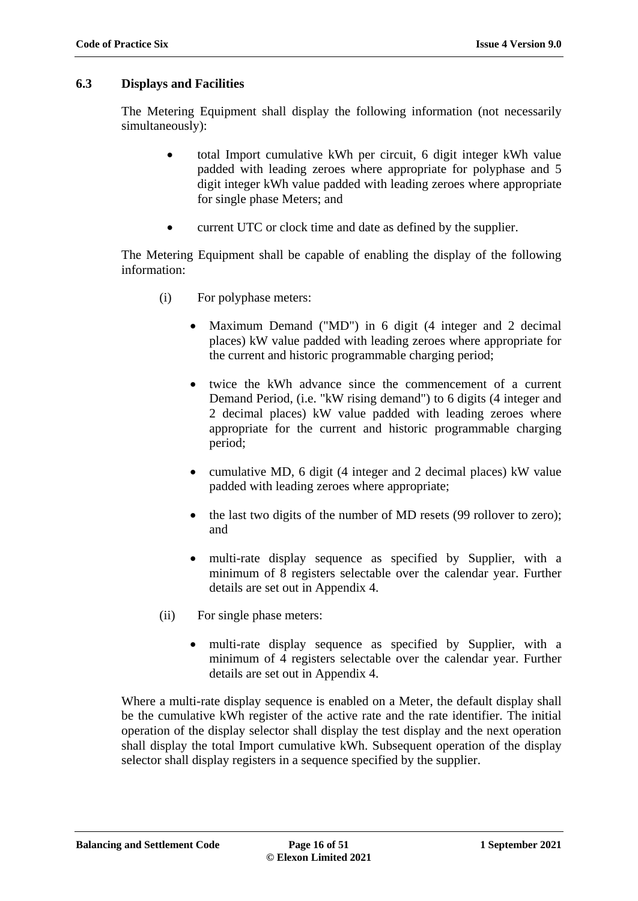#### <span id="page-15-0"></span>**6.3 Displays and Facilities**

The Metering Equipment shall display the following information (not necessarily simultaneously):

- total Import cumulative kWh per circuit, 6 digit integer kWh value padded with leading zeroes where appropriate for polyphase and 5 digit integer kWh value padded with leading zeroes where appropriate for single phase Meters; and
- current UTC or clock time and date as defined by the supplier.

The Metering Equipment shall be capable of enabling the display of the following information:

- (i) For polyphase meters:
	- Maximum Demand ("MD") in 6 digit (4 integer and 2 decimal places) kW value padded with leading zeroes where appropriate for the current and historic programmable charging period;
	- twice the kWh advance since the commencement of a current Demand Period, (i.e. "kW rising demand") to 6 digits (4 integer and 2 decimal places) kW value padded with leading zeroes where appropriate for the current and historic programmable charging period;
	- cumulative MD, 6 digit (4 integer and 2 decimal places) kW value padded with leading zeroes where appropriate;
	- the last two digits of the number of MD resets (99 rollover to zero); and
	- multi-rate display sequence as specified by Supplier, with a minimum of 8 registers selectable over the calendar year. Further details are set out in Appendix 4.
- (ii) For single phase meters:
	- multi-rate display sequence as specified by Supplier, with a minimum of 4 registers selectable over the calendar year. Further details are set out in Appendix 4.

Where a multi-rate display sequence is enabled on a Meter, the default display shall be the cumulative kWh register of the active rate and the rate identifier. The initial operation of the display selector shall display the test display and the next operation shall display the total Import cumulative kWh. Subsequent operation of the display selector shall display registers in a sequence specified by the supplier.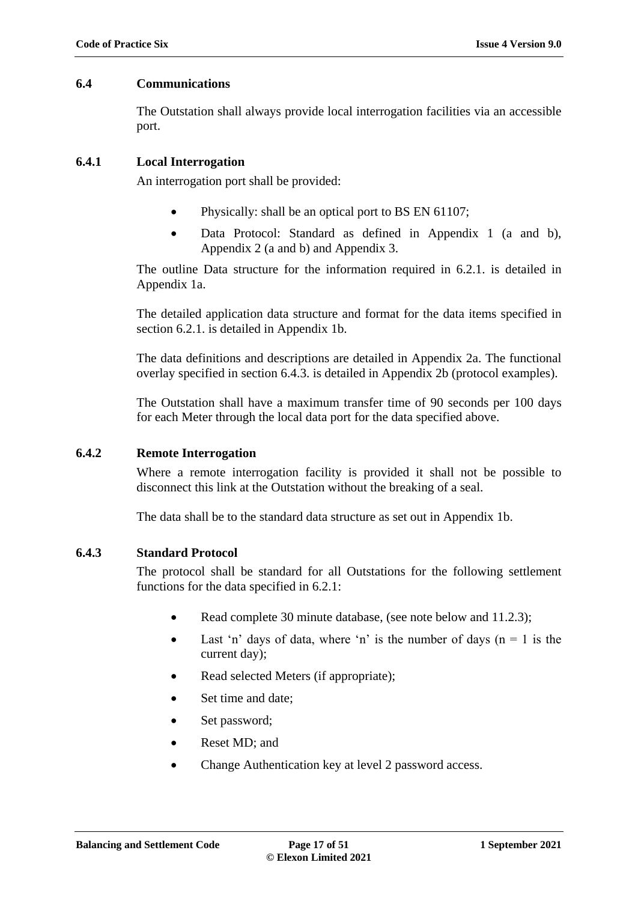#### <span id="page-16-0"></span>**6.4 Communications**

The Outstation shall always provide local interrogation facilities via an accessible port.

### **6.4.1 Local Interrogation**

An interrogation port shall be provided:

- Physically: shall be an optical port to BS EN 61107;
- Data Protocol: Standard as defined in Appendix 1 (a and b), Appendix 2 (a and b) and Appendix 3.

The outline Data structure for the information required in 6.2.1. is detailed in Appendix 1a.

The detailed application data structure and format for the data items specified in section 6.2.1. is detailed in Appendix 1b.

The data definitions and descriptions are detailed in Appendix 2a. The functional overlay specified in section 6.4.3. is detailed in Appendix 2b (protocol examples).

The Outstation shall have a maximum transfer time of 90 seconds per 100 days for each Meter through the local data port for the data specified above.

# **6.4.2 Remote Interrogation**

Where a remote interrogation facility is provided it shall not be possible to disconnect this link at the Outstation without the breaking of a seal.

The data shall be to the standard data structure as set out in Appendix 1b.

# **6.4.3 Standard Protocol**

The protocol shall be standard for all Outstations for the following settlement functions for the data specified in 6.2.1:

- Read complete 30 minute database, (see note below and 11.2.3);
- Last 'n' days of data, where 'n' is the number of days  $(n = 1)$  is the current day);
- Read selected Meters (if appropriate);
- Set time and date;
- Set password;
- Reset MD; and
- Change Authentication key at level 2 password access.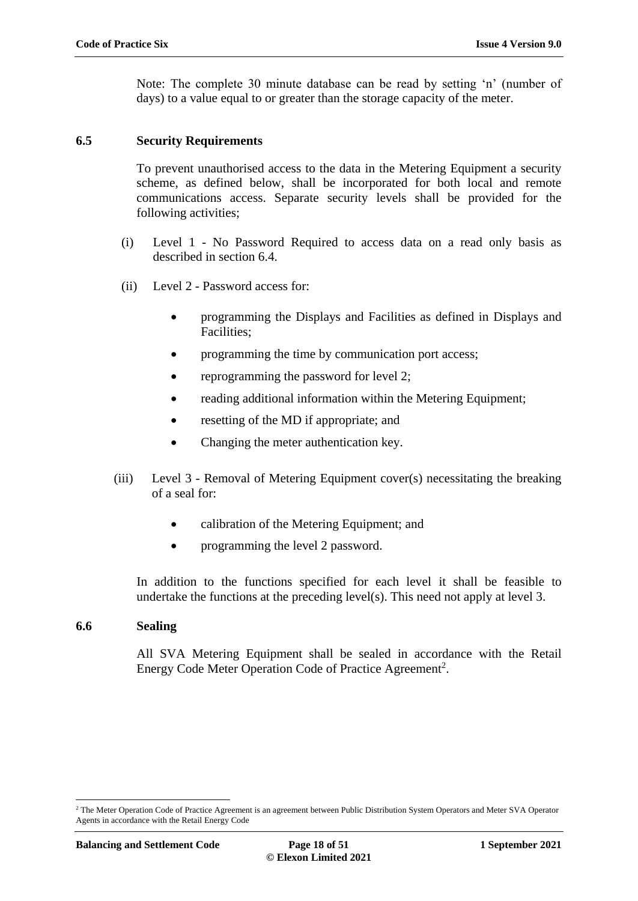Note: The complete 30 minute database can be read by setting 'n' (number of days) to a value equal to or greater than the storage capacity of the meter.

#### <span id="page-17-0"></span>**6.5 Security Requirements**

To prevent unauthorised access to the data in the Metering Equipment a security scheme, as defined below, shall be incorporated for both local and remote communications access. Separate security levels shall be provided for the following activities;

- (i) Level 1 No Password Required to access data on a read only basis as described in section 6.4.
- (ii) Level 2 Password access for:
	- programming the Displays and Facilities as defined in Displays and Facilities;
	- programming the time by communication port access;
	- reprogramming the password for level 2;
	- reading additional information within the Metering Equipment;
	- resetting of the MD if appropriate; and
	- Changing the meter authentication key.
- (iii) Level 3 Removal of Metering Equipment cover(s) necessitating the breaking of a seal for:
	- calibration of the Metering Equipment; and
	- programming the level 2 password.

In addition to the functions specified for each level it shall be feasible to undertake the functions at the preceding level(s). This need not apply at level 3.

### <span id="page-17-1"></span>**6.6 Sealing**

All SVA Metering Equipment shall be sealed in accordance with the Retail Energy Code Meter Operation Code of Practice Agreement<sup>2</sup>.

<u>.</u>

<sup>&</sup>lt;sup>2</sup> The Meter Operation Code of Practice Agreement is an agreement between Public Distribution System Operators and Meter SVA Operator Agents in accordance with the Retail Energy Code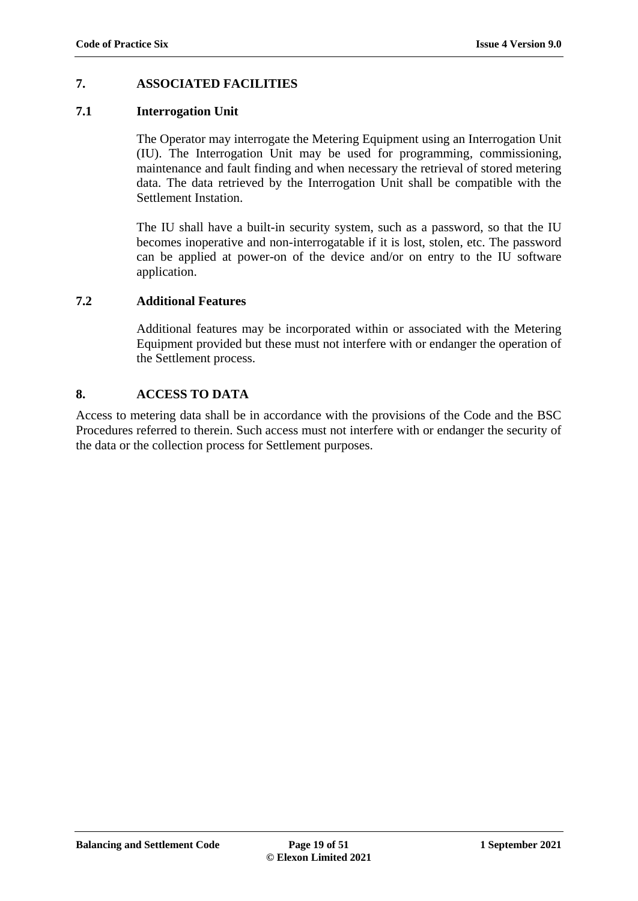# **7. ASSOCIATED FACILITIES**

### <span id="page-18-0"></span>**7.1 Interrogation Unit**

The Operator may interrogate the Metering Equipment using an Interrogation Unit (IU). The Interrogation Unit may be used for programming*,* commissioning, maintenance and fault finding and when necessary the retrieval of stored metering data. The data retrieved by the Interrogation Unit shall be compatible with the Settlement Instation.

The IU shall have a built-in security system, such as a password, so that the IU becomes inoperative and non-interrogatable if it is lost, stolen, etc. The password can be applied at power-on of the device and/or on entry to the IU software application.

# <span id="page-18-1"></span>**7.2 Additional Features**

Additional features may be incorporated within or associated with the Metering Equipment provided but these must not interfere with or endanger the operation of the Settlement process.

# **8. ACCESS TO DATA**

Access to metering data shall be in accordance with the provisions of the Code and the BSC Procedures referred to therein. Such access must not interfere with or endanger the security of the data or the collection process for Settlement purposes.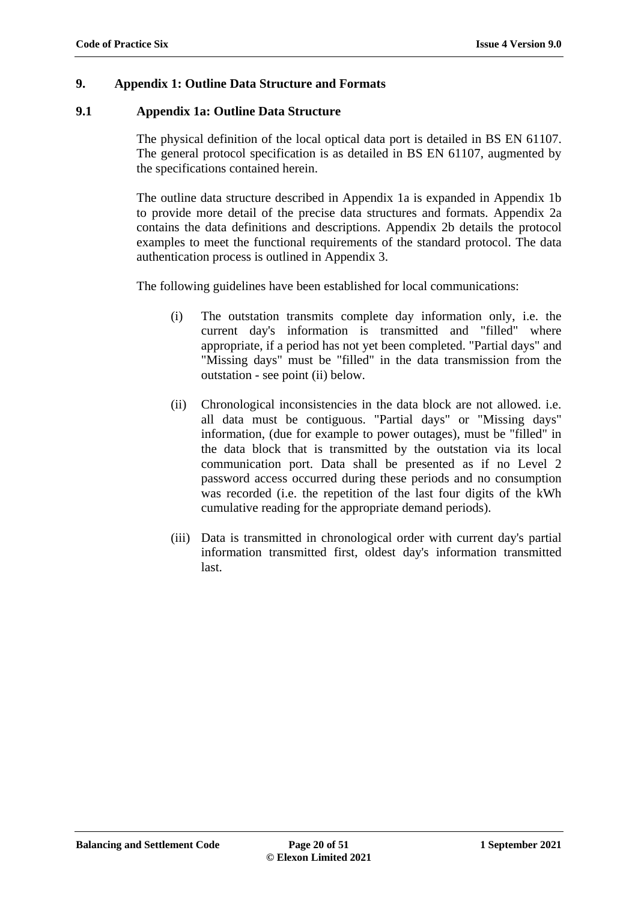# <span id="page-19-0"></span>**9. Appendix 1: Outline Data Structure and Formats**

### <span id="page-19-1"></span>**9.1 Appendix 1a: Outline Data Structure**

The physical definition of the local optical data port is detailed in BS EN 61107. The general protocol specification is as detailed in BS EN 61107, augmented by the specifications contained herein.

The outline data structure described in Appendix 1a is expanded in Appendix 1b to provide more detail of the precise data structures and formats. Appendix 2a contains the data definitions and descriptions. Appendix 2b details the protocol examples to meet the functional requirements of the standard protocol. The data authentication process is outlined in Appendix 3.

The following guidelines have been established for local communications:

- (i) The outstation transmits complete day information only, i.e. the current day's information is transmitted and "filled" where appropriate, if a period has not yet been completed. "Partial days" and "Missing days" must be "filled" in the data transmission from the outstation - see point (ii) below.
- (ii) Chronological inconsistencies in the data block are not allowed. i.e. all data must be contiguous. "Partial days" or "Missing days" information, (due for example to power outages), must be "filled" in the data block that is transmitted by the outstation via its local communication port. Data shall be presented as if no Level 2 password access occurred during these periods and no consumption was recorded (i.e. the repetition of the last four digits of the kWh cumulative reading for the appropriate demand periods).
- (iii) Data is transmitted in chronological order with current day's partial information transmitted first, oldest day's information transmitted last.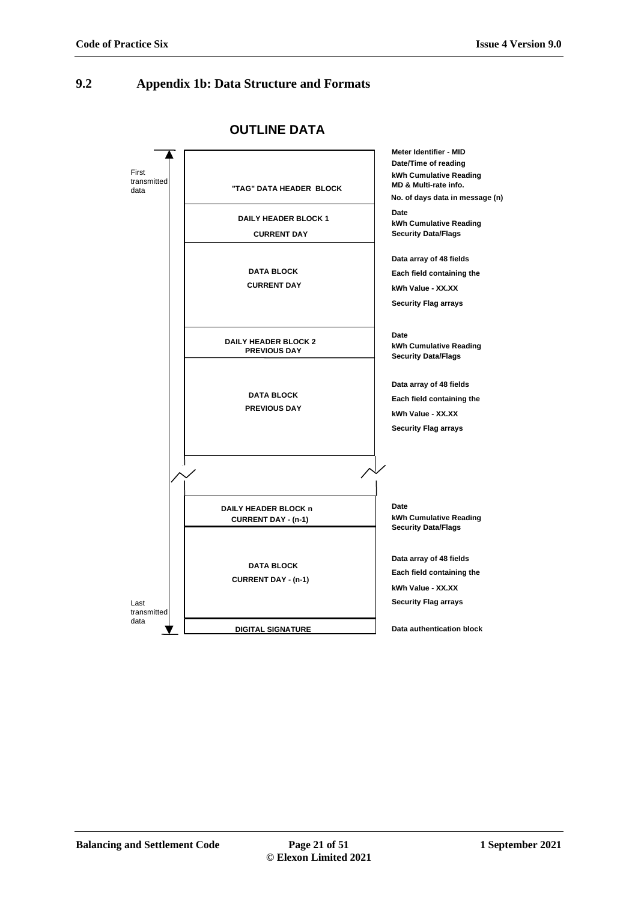#### <span id="page-20-0"></span>**9.2 Appendix 1b: Data Structure and Formats**



**OUTLINE DATA**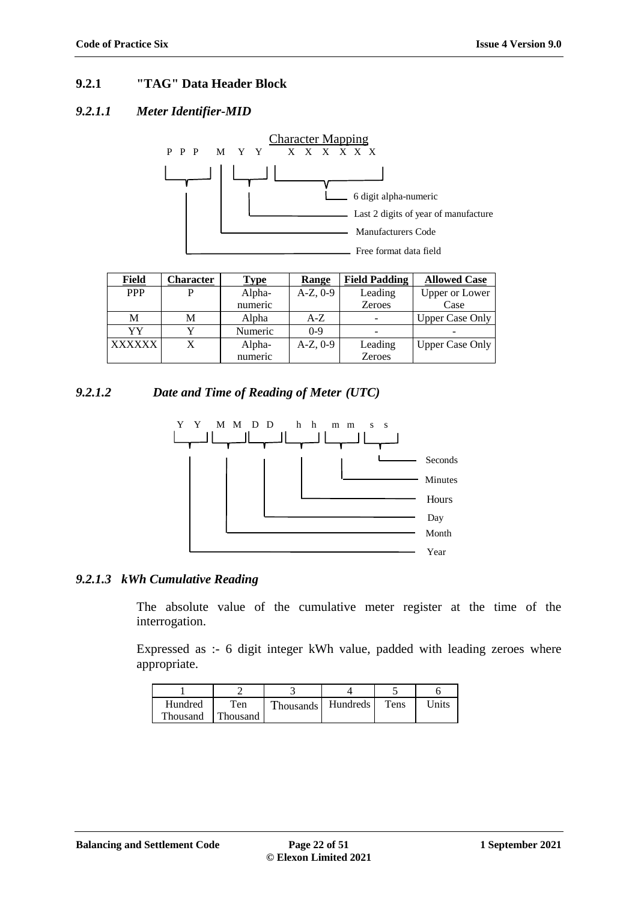# **9.2.1 "TAG" Data Header Block**

#### *9.2.1.1 Meter Identifier-MID*



| Field         | <b>Character</b> | Type    | Range      | <b>Field Padding</b> | <b>Allowed Case</b>    |
|---------------|------------------|---------|------------|----------------------|------------------------|
| <b>PPP</b>    |                  | Alpha-  | $A-Z, 0-9$ | Leading              | <b>Upper or Lower</b>  |
|               |                  | numeric |            | <b>Zeroes</b>        | Case                   |
| М             | M                | Alpha   | $A-Z$      |                      | <b>Upper Case Only</b> |
| YY            | v                | Numeric | $0-9$      |                      |                        |
| <b>XXXXXX</b> | X                | Alpha-  | $A-Z, 0-9$ | Leading              | <b>Upper Case Only</b> |
|               |                  | numeric |            | <b>Zeroes</b>        |                        |

# *9.2.1.2 Date and Time of Reading of Meter (UTC)*



#### *9.2.1.3 kWh Cumulative Reading*

The absolute value of the cumulative meter register at the time of the interrogation.

Expressed as :- 6 digit integer kWh value, padded with leading zeroes where appropriate.

|          |          |                  |          | ۰.   |       |
|----------|----------|------------------|----------|------|-------|
| Hundred  | Ten      | <b>Thousands</b> | Hundreds | Tens | Jnits |
| Thousand | Thousand |                  |          |      |       |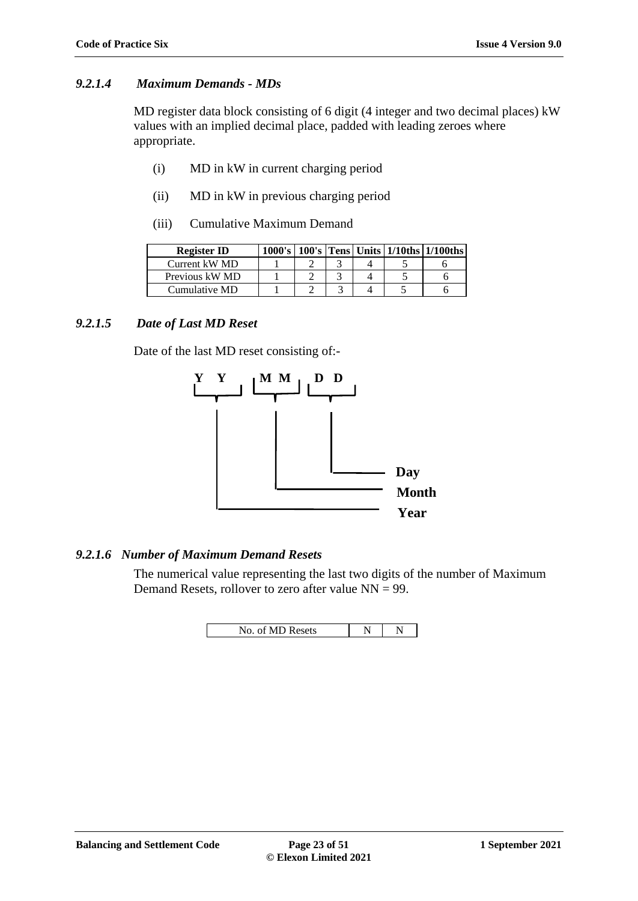#### *9.2.1.4 Maximum Demands - MDs*

MD register data block consisting of 6 digit (4 integer and two decimal places) kW values with an implied decimal place, padded with leading zeroes where appropriate.

- (i) MD in kW in current charging period
- (ii) MD in kW in previous charging period
- (iii) Cumulative Maximum Demand

| <b>Register ID</b> |  |  | $1000's$   100's   Tens   Units   1/10ths   1/100ths |
|--------------------|--|--|------------------------------------------------------|
| Current kW MD      |  |  |                                                      |
| Previous kW MD     |  |  |                                                      |
| Cumulative MD      |  |  |                                                      |

# *9.2.1.5 Date of Last MD Reset*

Date of the last MD reset consisting of:-



# *9.2.1.6 Number of Maximum Demand Resets*

The numerical value representing the last two digits of the number of Maximum Demand Resets, rollover to zero after value NN = 99.

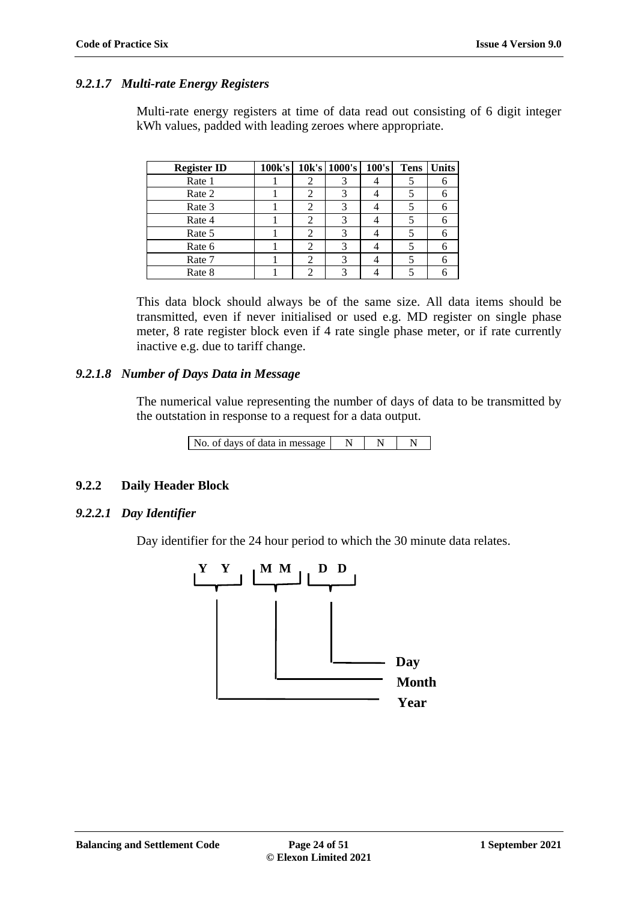#### *9.2.1.7 Multi-rate Energy Registers*

Multi-rate energy registers at time of data read out consisting of 6 digit integer kWh values, padded with leading zeroes where appropriate.

| <b>Register ID</b> | 100k's |   | 10k's 1000's | 100's | <b>Tens</b> | <b>Units</b> |
|--------------------|--------|---|--------------|-------|-------------|--------------|
| Rate 1             |        |   |              |       |             |              |
| Rate 2             |        | 2 |              |       |             |              |
| Rate 3             |        |   |              |       |             |              |
| Rate 4             |        |   |              |       |             |              |
| Rate 5             |        |   |              |       |             |              |
| Rate 6             |        |   |              |       |             |              |
| Rate 7             |        |   |              |       |             |              |
| Rate 8             |        |   |              |       |             |              |

This data block should always be of the same size. All data items should be transmitted, even if never initialised or used e.g. MD register on single phase meter, 8 rate register block even if 4 rate single phase meter, or if rate currently inactive e.g. due to tariff change.

#### *9.2.1.8 Number of Days Data in Message*

The numerical value representing the number of days of data to be transmitted by the outstation in response to a request for a data output.

| No. of days of data in message |  |  |  |
|--------------------------------|--|--|--|
|--------------------------------|--|--|--|

#### **9.2.2 Daily Header Block**

#### *9.2.2.1 Day Identifier*

Day identifier for the 24 hour period to which the 30 minute data relates.

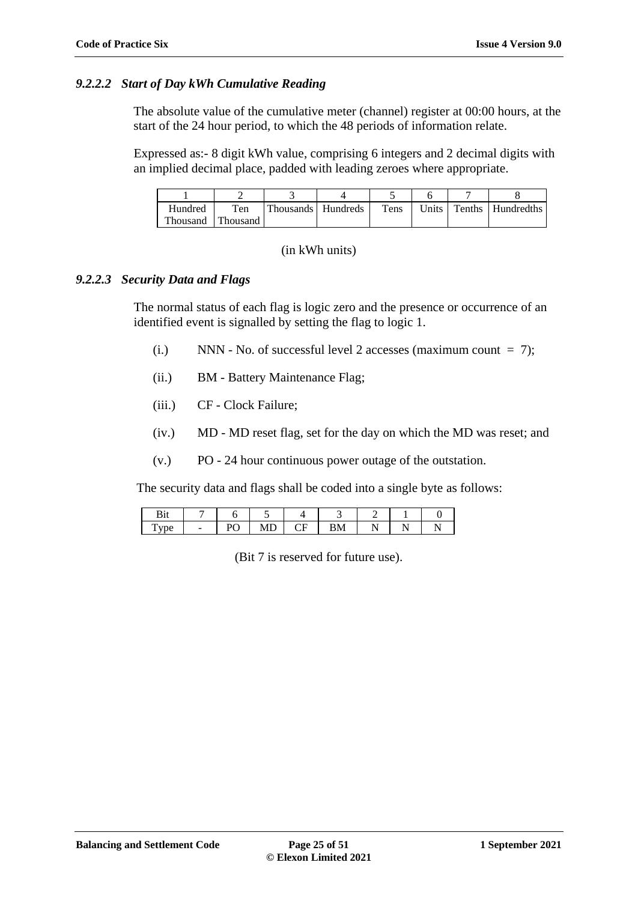#### *9.2.2.2 Start of Day kWh Cumulative Reading*

The absolute value of the cumulative meter (channel) register at 00:00 hours, at the start of the 24 hour period, to which the 48 periods of information relate.

Expressed as:- 8 digit kWh value, comprising 6 integers and 2 decimal digits with an implied decimal place, padded with leading zeroes where appropriate.

| Hundred  | Ten      | Thousands Hundreds | Tens | Units | Tenths   Hundredths |
|----------|----------|--------------------|------|-------|---------------------|
| Thousand | Thousand |                    |      |       |                     |

#### (in kWh units)

#### *9.2.2.3 Security Data and Flags*

The normal status of each flag is logic zero and the presence or occurrence of an identified event is signalled by setting the flag to logic 1.

- (i.) NNN No. of successful level 2 accesses (maximum count  $= 7$ );
- (ii.) BM Battery Maintenance Flag;
- (iii.) CF Clock Failure;
- (iv.) MD MD reset flag, set for the day on which the MD was reset; and
- (v.) PO 24 hour continuous power outage of the outstation.

The security data and flags shall be coded into a single byte as follows:

| $-$ | ◡ | ப | $\sim$<br>. |  |  |
|-----|---|---|-------------|--|--|

(Bit 7 is reserved for future use).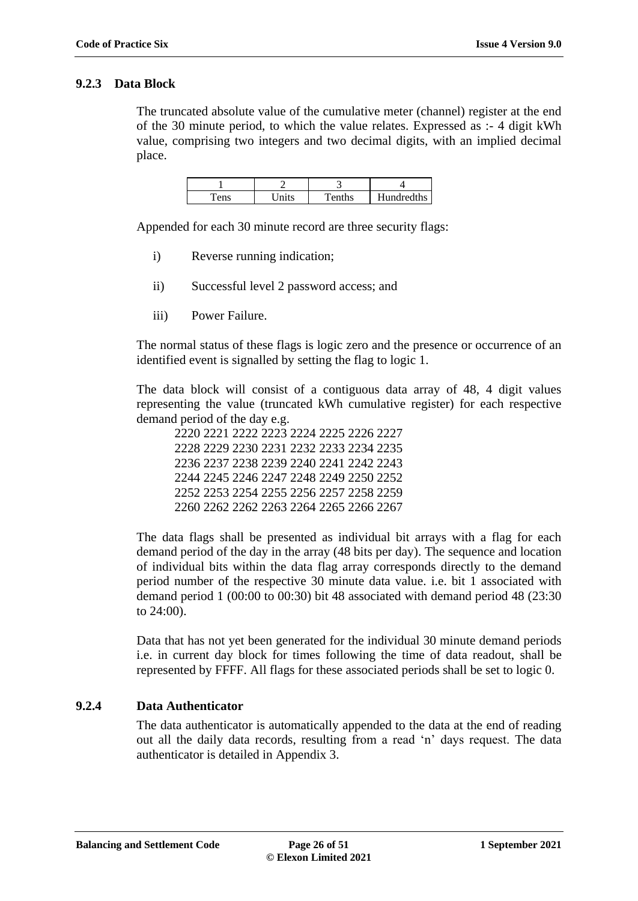#### **9.2.3 Data Block**

The truncated absolute value of the cumulative meter (channel) register at the end of the 30 minute period, to which the value relates. Expressed as :- 4 digit kWh value, comprising two integers and two decimal digits, with an implied decimal place.

|     |                   | . .       |            |
|-----|-------------------|-----------|------------|
| ens | <sup>T</sup> nits | $T$ enths | Hundredths |

Appended for each 30 minute record are three security flags:

- i) Reverse running indication;
- ii) Successful level 2 password access; and
- iii) Power Failure.

The normal status of these flags is logic zero and the presence or occurrence of an identified event is signalled by setting the flag to logic 1.

The data block will consist of a contiguous data array of 48, 4 digit values representing the value (truncated kWh cumulative register) for each respective demand period of the day e.g.

2220 2221 2222 2223 2224 2225 2226 2227 2228 2229 2230 2231 2232 2233 2234 2235 2236 2237 2238 2239 2240 2241 2242 2243 2244 2245 2246 2247 2248 2249 2250 2252 2252 2253 2254 2255 2256 2257 2258 2259 2260 2262 2262 2263 2264 2265 2266 2267

The data flags shall be presented as individual bit arrays with a flag for each demand period of the day in the array (48 bits per day). The sequence and location of individual bits within the data flag array corresponds directly to the demand period number of the respective 30 minute data value. i.e. bit 1 associated with demand period 1 (00:00 to 00:30) bit 48 associated with demand period 48 (23:30 to 24:00).

Data that has not yet been generated for the individual 30 minute demand periods i.e. in current day block for times following the time of data readout, shall be represented by FFFF. All flags for these associated periods shall be set to logic 0.

#### **9.2.4 Data Authenticator**

The data authenticator is automatically appended to the data at the end of reading out all the daily data records, resulting from a read 'n' days request. The data authenticator is detailed in Appendix 3.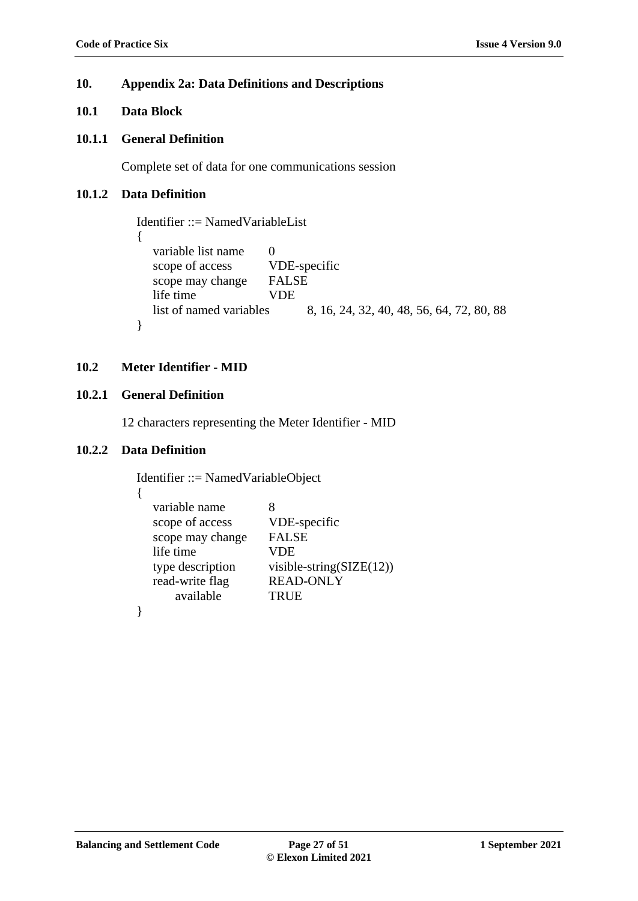#### **10. Appendix 2a: Data Definitions and Descriptions**

# **10.1 Data Block**

#### **10.1.1 General Definition**

Complete set of data for one communications session

# **10.1.2 Data Definition**

```
Identifier ::= NamedVariableList
{
  variable list name 0
  scope of access VDE-specific
  scope may change FALSE
  life time VDE
  list of named variables 8, 16, 24, 32, 40, 48, 56, 64, 72, 80, 88
}
```
### <span id="page-26-0"></span>**10.2 Meter Identifier - MID**

# **10.2.1 General Definition**

12 characters representing the Meter Identifier - MID

#### **10.2.2 Data Definition**

{

Identifier ::= NamedVariableObject

| variable name    | x                           |
|------------------|-----------------------------|
| scope of access  | VDE-specific                |
| scope may change | <b>FALSE</b>                |
| life time        | VDE                         |
| type description | visible-string $(SIZE(12))$ |
| read-write flag  | <b>READ-ONLY</b>            |
| available        | <b>TRUE</b>                 |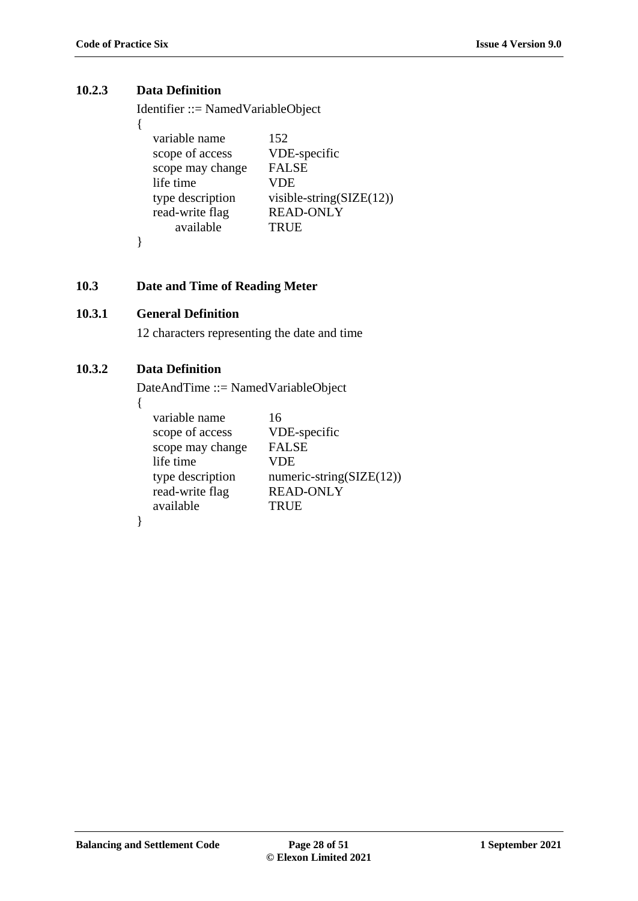# **10.2.3 Data Definition**

{

}

Identifier ::= NamedVariableObject

| variable name    | 152                                 |
|------------------|-------------------------------------|
|                  |                                     |
| scope of access  | VDE-specific                        |
| scope may change | <b>FALSE</b>                        |
| life time        | VDE                                 |
| type description | visible-string( $\text{SIZE}(12)$ ) |
| read-write flag  | <b>READ-ONLY</b>                    |
| available        | <b>TRUE</b>                         |
|                  |                                     |

# <span id="page-27-0"></span>**10.3 Date and Time of Reading Meter**

# **10.3.1 General Definition**

12 characters representing the date and time

# **10.3.2 Data Definition**

DateAndTime ::= NamedVariableObject

{

| variable name    | 16                       |
|------------------|--------------------------|
| scope of access  | VDE-specific             |
| scope may change | <b>FALSE</b>             |
| life time        | VDE                      |
| type description | numeric-string(SIZE(12)) |
| read-write flag  | <b>READ-ONLY</b>         |
| available        | TRUE                     |
|                  |                          |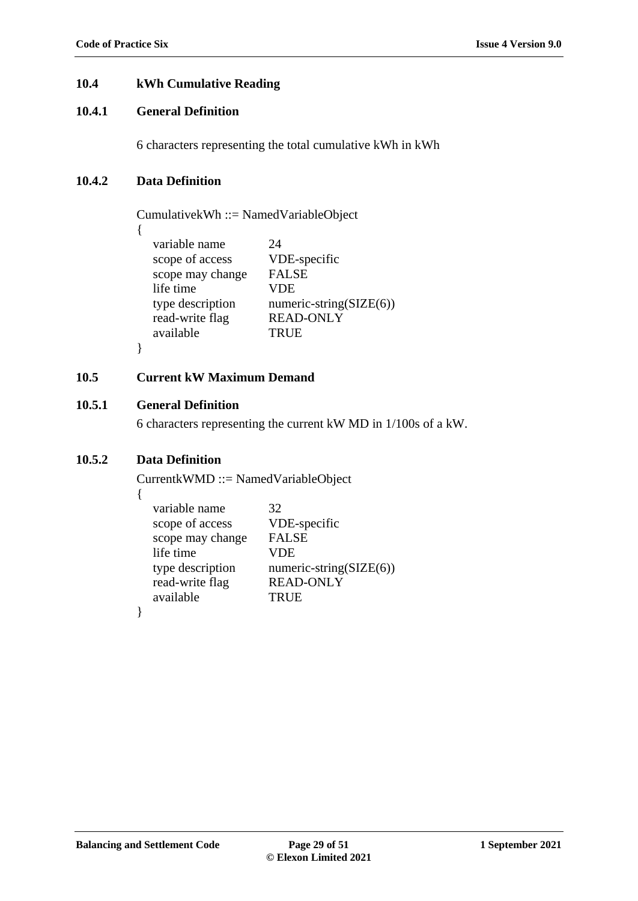#### <span id="page-28-0"></span>**10.4 kWh Cumulative Reading**

# **10.4.1 General Definition**

6 characters representing the total cumulative kWh in kWh

# **10.4.2 Data Definition**

{

}

CumulativekWh ::= NamedVariableObject

| variable name    | 24                      |
|------------------|-------------------------|
| scope of access  | VDE-specific            |
| scope may change | <b>FALSE</b>            |
| life time        | <b>VDE</b>              |
| type description | numeric-string(SIZE(6)) |
| read-write flag  | <b>READ-ONLY</b>        |
| available        | <b>TRUE</b>             |
|                  |                         |

# <span id="page-28-1"></span>**10.5 Current kW Maximum Demand**

# **10.5.1 General Definition**

6 characters representing the current kW MD in 1/100s of a kW.

# **10.5.2 Data Definition**

CurrentkWMD ::= NamedVariableObject

{

| variable name    | 32                          |
|------------------|-----------------------------|
| scope of access  | VDE-specific                |
| scope may change | <b>FALSE</b>                |
| life time        | <b>VDE</b>                  |
| type description | numeric-string( $SIZE(6)$ ) |
| read-write flag  | <b>READ-ONLY</b>            |
| available        | <b>TRUE</b>                 |
|                  |                             |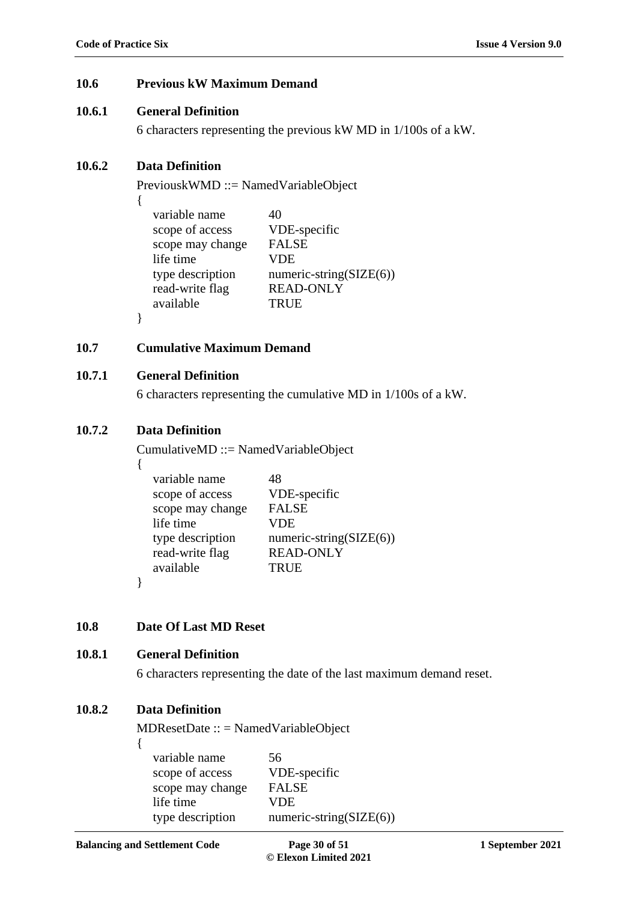# <span id="page-29-0"></span>**10.6 Previous kW Maximum Demand**

### **10.6.1 General Definition**

6 characters representing the previous kW MD in 1/100s of a kW.

# **10.6.2 Data Definition**

{

}

PreviouskWMD ::= NamedVariableObject

| variable name    | 40                          |
|------------------|-----------------------------|
| scope of access  | VDE-specific                |
| scope may change | <b>FALSE</b>                |
| life time        | VDE                         |
| type description | numeric-string( $SIZE(6)$ ) |
| read-write flag  | <b>READ-ONLY</b>            |
| available        | <b>TRUE</b>                 |
|                  |                             |

# <span id="page-29-1"></span>**10.7 Cumulative Maximum Demand**

### **10.7.1 General Definition**

6 characters representing the cumulative MD in 1/100s of a kW.

# **10.7.2 Data Definition**

CumulativeMD ::= NamedVariableObject

| variable name    | 48                          |
|------------------|-----------------------------|
| scope of access  | VDE-specific                |
| scope may change | <b>FALSE</b>                |
| life time        | VDE                         |
| type description | numeric-string( $SIZE(6)$ ) |
| read-write flag  | <b>READ-ONLY</b>            |
| available        | <b>TRUE</b>                 |

}

# <span id="page-29-2"></span>**10.8 Date Of Last MD Reset**

# **10.8.1 General Definition**

6 characters representing the date of the last maximum demand reset.

# **10.8.2 Data Definition**

MDResetDate :: = NamedVariableObject

{

| variable name<br>scope of access | 56<br>VDE-specific          |
|----------------------------------|-----------------------------|
| scope may change                 | <b>FALSE</b>                |
| life time                        | <b>VDE</b>                  |
| type description                 | numeric-string( $SIZE(6)$ ) |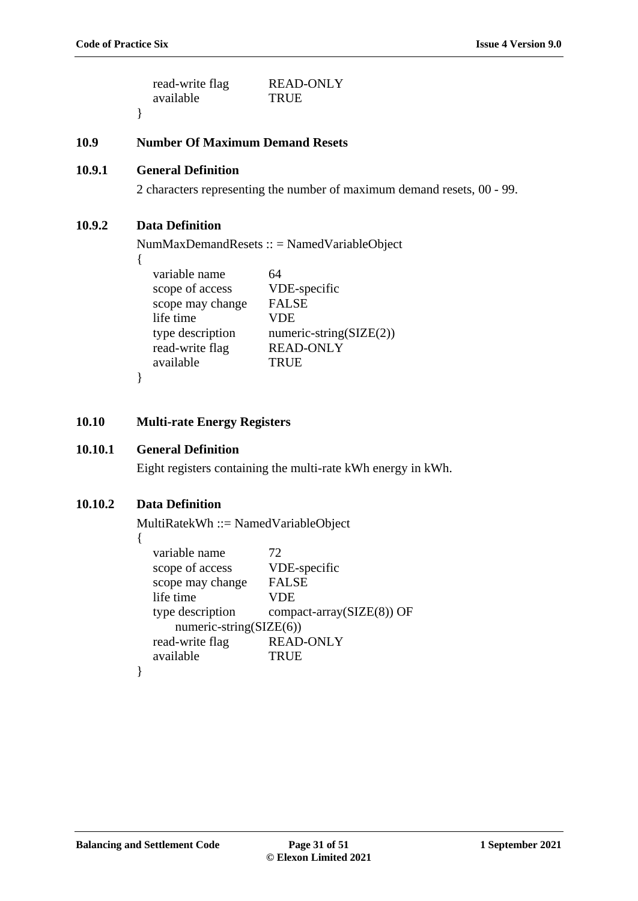}

| read-write flag | <b>READ-ONLY</b> |
|-----------------|------------------|
| available       | <b>TRUE</b>      |

<span id="page-30-0"></span>**10.9 Number Of Maximum Demand Resets**

# **10.9.1 General Definition**

2 characters representing the number of maximum demand resets, 00 - 99.

# **10.9.2 Data Definition**

NumMaxDemandResets :: = NamedVariableObject

| × |  |
|---|--|

| variable name    | 64                         |
|------------------|----------------------------|
| scope of access  | VDE-specific               |
| scope may change | <b>FALSE</b>               |
| life time        | <b>VDE</b>                 |
| type description | numeric-string( $SLE(2)$ ) |
| read-write flag  | <b>READ-ONLY</b>           |
| available        | <b>TRUE</b>                |
|                  |                            |

}

### <span id="page-30-1"></span>**10.10 Multi-rate Energy Registers**

### **10.10.1 General Definition**

Eight registers containing the multi-rate kWh energy in kWh.

# **10.10.2 Data Definition**

MultiRatekWh ::= NamedVariableObject

{

| variable name<br>scope of access<br>scope may change | 72<br>VDE-specific<br><b>FALSE</b> |
|------------------------------------------------------|------------------------------------|
| life time                                            | VDE                                |
| type description<br>numeric-string( $SIZE(6)$ )      | compact-array(SIZE(8)) OF          |
| read-write flag                                      | <b>READ-ONLY</b>                   |
| available                                            | <b>TRUE</b>                        |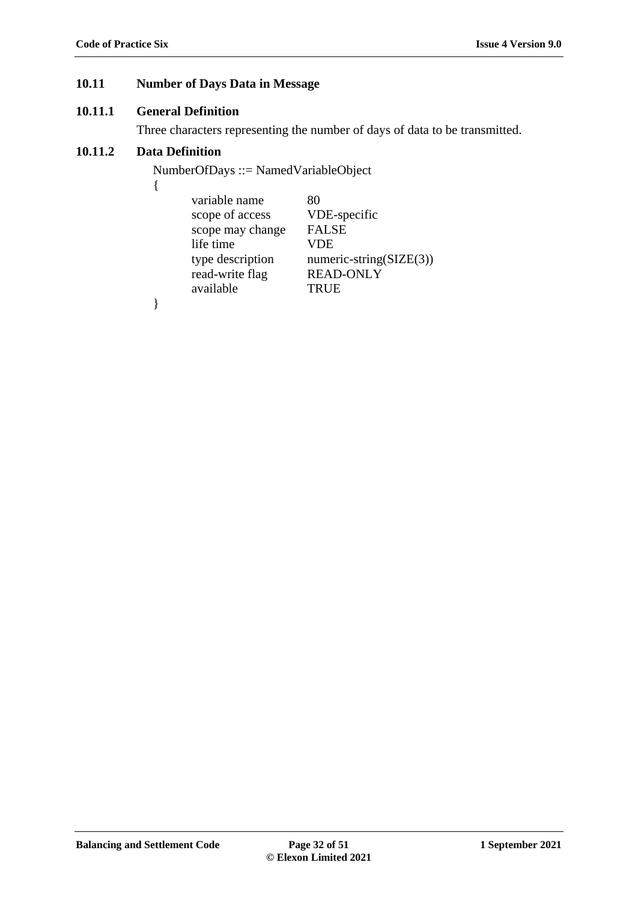# <span id="page-31-0"></span>**10.11 Number of Days Data in Message**

# **10.11.1 General Definition**

Three characters representing the number of days of data to be transmitted.

# **10.11.2 Data Definition**

NumberOfDays ::= NamedVariableObject

| i<br>I |  |
|--------|--|
| ×      |  |
|        |  |

| variable name    | 80                          |
|------------------|-----------------------------|
| scope of access  | VDE-specific                |
| scope may change | <b>FALSE</b>                |
| life time        | <b>VDE</b>                  |
| type description | numeric-string( $SIZE(3)$ ) |
| read-write flag  | <b>READ-ONLY</b>            |
| available        | <b>TRUE</b>                 |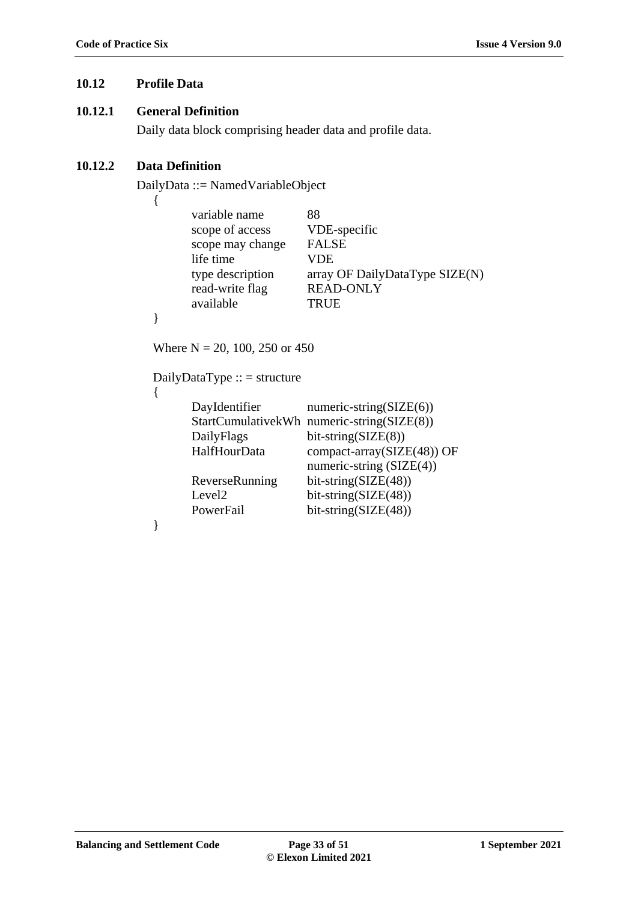### <span id="page-32-0"></span>**10.12 Profile Data**

#### **10.12.1 General Definition**

Daily data block comprising header data and profile data.

# **10.12.2 Data Definition**

DailyData ::= NamedVariableObject

| i |
|---|
|   |
|   |

| variable name<br>scope of access                                                                                                                                                                                                                                                                                                                                                                                         | 88<br>VDE-specific             |
|--------------------------------------------------------------------------------------------------------------------------------------------------------------------------------------------------------------------------------------------------------------------------------------------------------------------------------------------------------------------------------------------------------------------------|--------------------------------|
| scope may change                                                                                                                                                                                                                                                                                                                                                                                                         | <b>FALSE</b>                   |
| life time                                                                                                                                                                                                                                                                                                                                                                                                                | VDE                            |
| type description                                                                                                                                                                                                                                                                                                                                                                                                         | array OF DailyDataType SIZE(N) |
| read-write flag                                                                                                                                                                                                                                                                                                                                                                                                          | <b>READ-ONLY</b>               |
| available                                                                                                                                                                                                                                                                                                                                                                                                                | <b>TRUE</b>                    |
|                                                                                                                                                                                                                                                                                                                                                                                                                          |                                |
| $\mathbf{M} = \mathbf{A} \mathbf{A} + \mathbf{A} \mathbf{A} + \mathbf{A} \mathbf{A} + \mathbf{A} \mathbf{A} + \mathbf{A} \mathbf{A} + \mathbf{A} \mathbf{A} + \mathbf{A} \mathbf{A} + \mathbf{A} \mathbf{A} + \mathbf{A} \mathbf{A} + \mathbf{A} \mathbf{A} + \mathbf{A} \mathbf{A} + \mathbf{A} \mathbf{A} + \mathbf{A} \mathbf{A} + \mathbf{A} \mathbf{A} + \mathbf{A} \mathbf{A} + \mathbf{A} \mathbf{A} + \mathbf{A$ |                                |

Where  $N = 20, 100, 250$  or 450

DailyDataType :: = structure

{

}

| DayIdentifier      | numeric-string $SIZE(6)$                   |
|--------------------|--------------------------------------------|
|                    | StartCumulativekWh numeric-string(SIZE(8)) |
| DailyFlags         | $bit\text{-string}(SIZE(8))$               |
| HalfHourData       | compact-array(SIZE(48)) OF                 |
|                    | numeric-string $(SIZE(4))$                 |
| ReverseRunning     | $bit\text{-string}(SIZE(48))$              |
| Level <sub>2</sub> | $bit\text{-string}(SIZE(48))$              |
| PowerFail          | $bit\text{-string}(SIZE(48))$              |
|                    |                                            |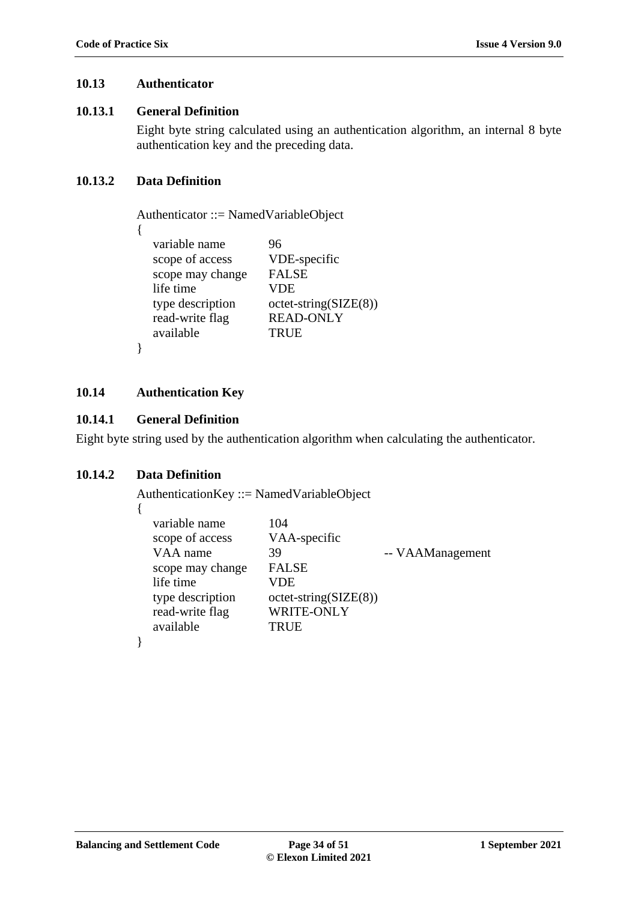### <span id="page-33-0"></span>**10.13 Authenticator**

#### **10.13.1 General Definition**

Eight byte string calculated using an authentication algorithm, an internal 8 byte authentication key and the preceding data.

# **10.13.2 Data Definition**

Authenticator ::= NamedVariableObject

```
{
```
}

variable name 96 scope of access VDE-specific scope may change FALSE life time VDE type description octet-string(SIZE(8)) read-write flag READ-ONLY available TRUE

# <span id="page-33-1"></span>**10.14 Authentication Key**

# **10.14.1 General Definition**

Eight byte string used by the authentication algorithm when calculating the authenticator.

# **10.14.2 Data Definition**

{

}

AuthenticationKey ::= NamedVariableObject

| variable name<br>scope of access<br>VAA name<br>scope may change<br>life time<br>type description<br>read-write flag | 104<br>VAA-specific<br>39<br><b>FALSE</b><br>VDE<br>$octet\text{-string}(SIZE(8))$<br><b>WRITE-ONLY</b> | -- VAAManagement |
|----------------------------------------------------------------------------------------------------------------------|---------------------------------------------------------------------------------------------------------|------------------|
| available                                                                                                            | <b>TRUE</b>                                                                                             |                  |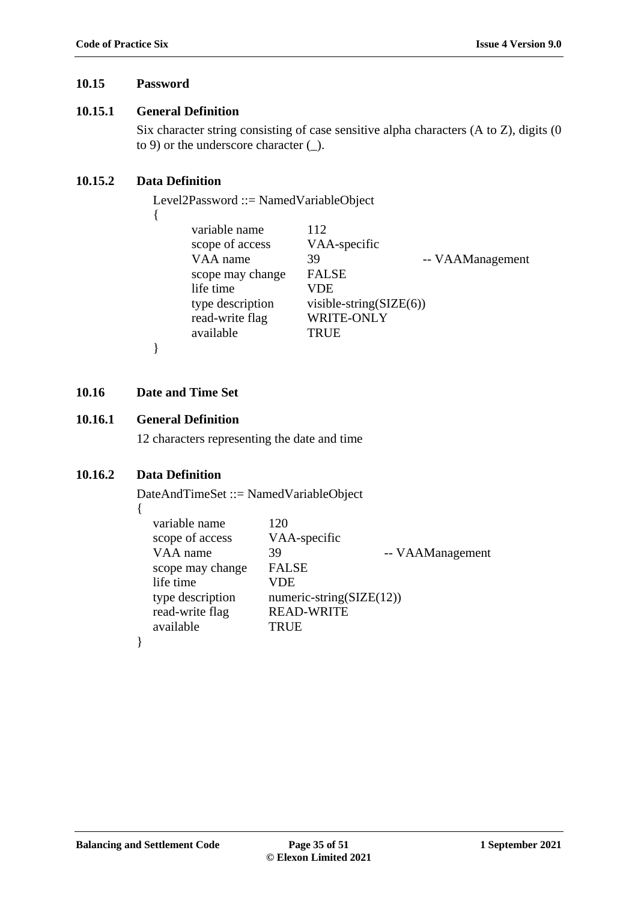# <span id="page-34-0"></span>**10.15 Password**

# **10.15.1 General Definition**

Six character string consisting of case sensitive alpha characters (A to Z), digits (0 to 9) or the underscore character (\_).

# **10.15.2 Data Definition**

{

Level2Password ::= NamedVariableObject

| <b>FALSE</b><br>scope may change<br>life time<br>VDE<br>type description<br>visible-string $(SIZE(6))$<br>WRITE-ONLY<br>read-write flag<br>available<br>TRUE | variable name<br>scope of access<br>VAA name | 112<br>VAA-specific<br>-- VAAManagement<br>39 |
|--------------------------------------------------------------------------------------------------------------------------------------------------------------|----------------------------------------------|-----------------------------------------------|
|--------------------------------------------------------------------------------------------------------------------------------------------------------------|----------------------------------------------|-----------------------------------------------|

}

# <span id="page-34-1"></span>**10.16 Date and Time Set**

# **10.16.1 General Definition**

12 characters representing the date and time

# **10.16.2 Data Definition**

DateAndTimeSet ::= NamedVariableObject

| × |  |
|---|--|

| variable name    | 120                          |                  |
|------------------|------------------------------|------------------|
| scope of access  | VAA-specific                 |                  |
| VAA name         | 39                           | -- VAAManagement |
| scope may change | <b>FALSE</b>                 |                  |
| life time        | VDE                          |                  |
| type description | numeric-string( $SIZE(12)$ ) |                  |
| read-write flag  | <b>READ-WRITE</b>            |                  |
| available        | <b>TRUE</b>                  |                  |
|                  |                              |                  |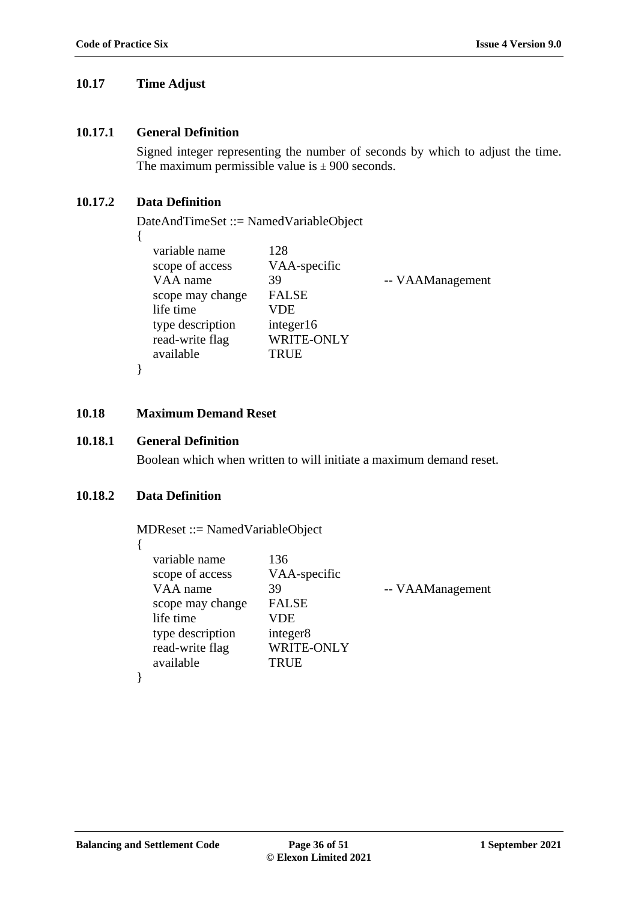#### <span id="page-35-0"></span>**10.17 Time Adjust**

#### **10.17.1 General Definition**

Signed integer representing the number of seconds by which to adjust the time. The maximum permissible value is  $\pm$  900 seconds.

### **10.17.2 Data Definition**

DateAndTimeSet ::= NamedVariableObject

| variable name    | 128          |                  |
|------------------|--------------|------------------|
| scope of access  | VAA-specific |                  |
| VAA name         | 39           | -- VAAManagement |
| scope may change | <b>FALSE</b> |                  |
| life time        | VDE          |                  |
| type description | integer16    |                  |
| read-write flag  | WRITE-ONLY   |                  |
| available        | <b>TRUE</b>  |                  |
|                  |              |                  |

#### <span id="page-35-1"></span>**10.18 Maximum Demand Reset**

# **10.18.1 General Definition**

}

Boolean which when written to will initiate a maximum demand reset.

#### **10.18.2 Data Definition**

MDReset ::= NamedVariableObject

| ٧ |  |  |
|---|--|--|
|   |  |  |

| read-write flag<br>available<br><b>TRUE</b> | VAA-specific<br>scope of access<br>VAA name<br>-- VAAManagement<br>39<br><b>FALSE</b><br>scope may change<br>life time<br>VDE<br>type description<br>integer <sub>8</sub><br><b>WRITE-ONLY</b> |
|---------------------------------------------|------------------------------------------------------------------------------------------------------------------------------------------------------------------------------------------------|
|---------------------------------------------|------------------------------------------------------------------------------------------------------------------------------------------------------------------------------------------------|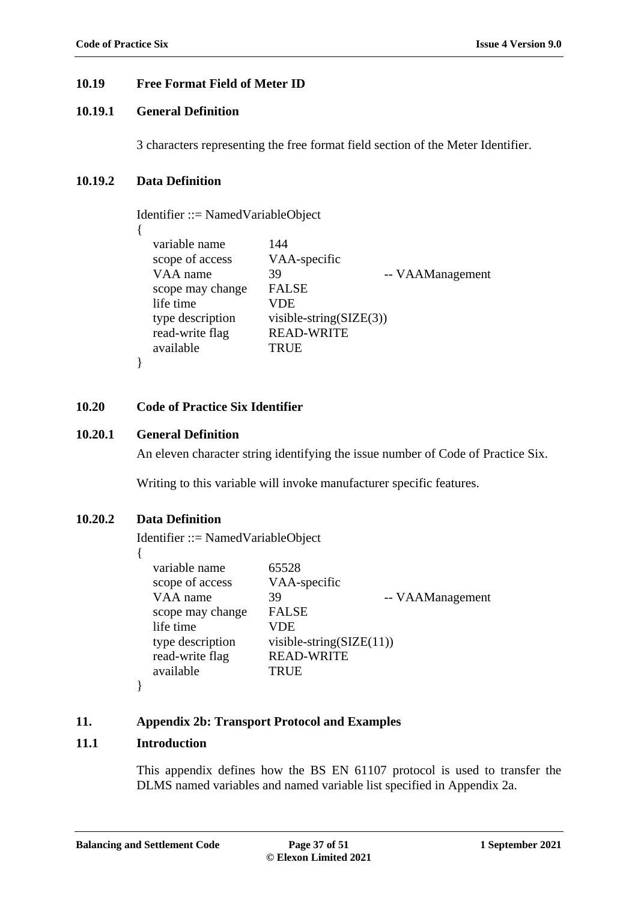### <span id="page-36-0"></span>**10.19 Free Format Field of Meter ID**

### **10.19.1 General Definition**

3 characters representing the free format field section of the Meter Identifier.

### **10.19.2 Data Definition**

{

}

Identifier ::= NamedVariableObject

variable name 144 scope of access VAA-specific VAA name 39 -- VAAManagement scope may change FALSE life time VDE type description visible-string(SIZE(3)) read-write flag READ-WRITE available TRUE

#### <span id="page-36-1"></span>**10.20 Code of Practice Six Identifier**

#### **10.20.1 General Definition**

An eleven character string identifying the issue number of Code of Practice Six.

Writing to this variable will invoke manufacturer specific features.

### **10.20.2 Data Definition**

Identifier ::= NamedVariableObject

{

| variable name    | 65528                               |                  |
|------------------|-------------------------------------|------------------|
| scope of access  | VAA-specific                        |                  |
| VAA name         | 39                                  | -- VAAManagement |
| scope may change | <b>FALSE</b>                        |                  |
| life time        | VDE                                 |                  |
| type description | visible-string( $\text{SIZE}(11)$ ) |                  |
| read-write flag  | <b>READ-WRITE</b>                   |                  |
| available        | <b>TRUE</b>                         |                  |
|                  |                                     |                  |

#### **11. Appendix 2b: Transport Protocol and Examples**

#### <span id="page-36-2"></span>**11.1 Introduction**

}

This appendix defines how the BS EN 61107 protocol is used to transfer the DLMS named variables and named variable list specified in Appendix 2a.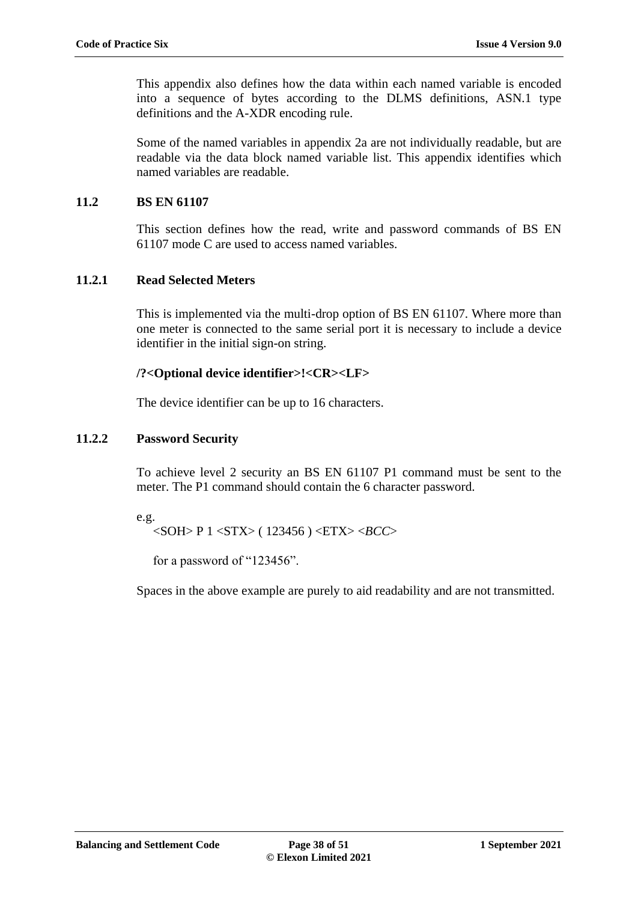This appendix also defines how the data within each named variable is encoded into a sequence of bytes according to the DLMS definitions, ASN.1 type definitions and the A-XDR encoding rule.

Some of the named variables in appendix 2a are not individually readable, but are readable via the data block named variable list. This appendix identifies which named variables are readable.

# <span id="page-37-0"></span>**11.2 BS EN 61107**

This section defines how the read, write and password commands of BS EN 61107 mode C are used to access named variables.

# **11.2.1 Read Selected Meters**

This is implemented via the multi-drop option of BS EN 61107. Where more than one meter is connected to the same serial port it is necessary to include a device identifier in the initial sign-on string.

# **/?<Optional device identifier>!<CR><LF>**

The device identifier can be up to 16 characters.

# **11.2.2 Password Security**

To achieve level 2 security an BS EN 61107 P1 command must be sent to the meter. The P1 command should contain the 6 character password.

#### e.g.

<SOH> P 1 <STX> ( 123456 ) <ETX> <*BCC*>

for a password of "123456".

Spaces in the above example are purely to aid readability and are not transmitted.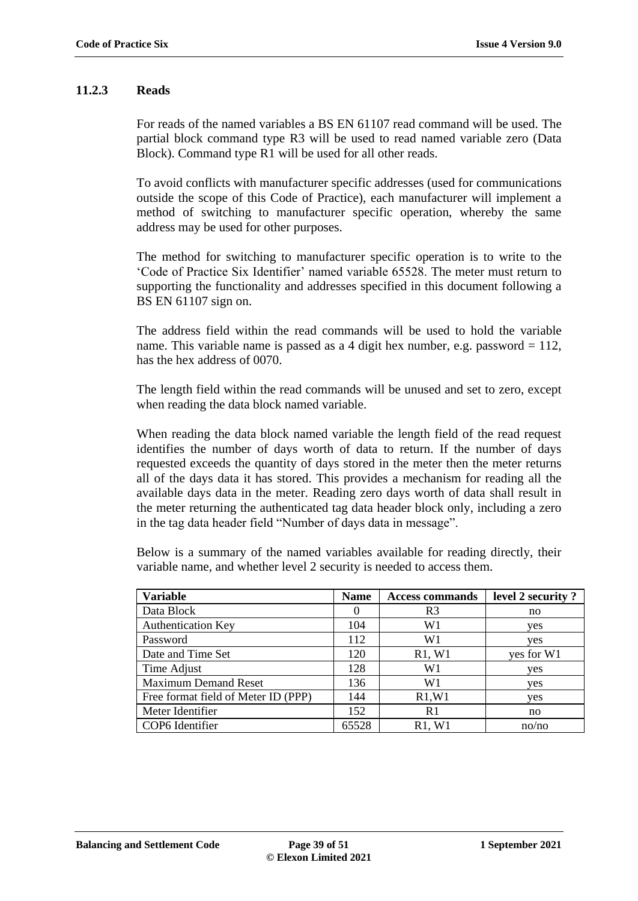#### **11.2.3 Reads**

For reads of the named variables a BS EN 61107 read command will be used. The partial block command type R3 will be used to read named variable zero (Data Block). Command type R1 will be used for all other reads.

To avoid conflicts with manufacturer specific addresses (used for communications outside the scope of this Code of Practice), each manufacturer will implement a method of switching to manufacturer specific operation, whereby the same address may be used for other purposes.

The method for switching to manufacturer specific operation is to write to the 'Code of Practice Six Identifier' named variable 65528. The meter must return to supporting the functionality and addresses specified in this document following a BS EN 61107 sign on.

The address field within the read commands will be used to hold the variable name. This variable name is passed as a 4 digit hex number, e.g. password  $= 112$ , has the hex address of 0070.

The length field within the read commands will be unused and set to zero, except when reading the data block named variable.

When reading the data block named variable the length field of the read request identifies the number of days worth of data to return. If the number of days requested exceeds the quantity of days stored in the meter then the meter returns all of the days data it has stored. This provides a mechanism for reading all the available days data in the meter. Reading zero days worth of data shall result in the meter returning the authenticated tag data header block only, including a zero in the tag data header field "Number of days data in message".

Below is a summary of the named variables available for reading directly, their variable name, and whether level 2 security is needed to access them.

| <b>Variable</b>                     | <b>Name</b> | <b>Access commands</b> | level 2 security? |
|-------------------------------------|-------------|------------------------|-------------------|
| Data Block                          | $\theta$    | R3                     | no                |
| <b>Authentication Key</b>           | 104         | W1                     | yes               |
| Password                            | 112         | W1                     | ves               |
| Date and Time Set                   | 120         | R1, W1                 | yes for W1        |
| Time Adjust                         | 128         | W1                     | yes               |
| <b>Maximum Demand Reset</b>         | 136         | W1                     | ves               |
| Free format field of Meter ID (PPP) | 144         | R1, W1                 | yes               |
| Meter Identifier                    | 152         | R <sub>1</sub>         | no                |
| COP6 Identifier                     | 65528       | R1, W1                 | no/no             |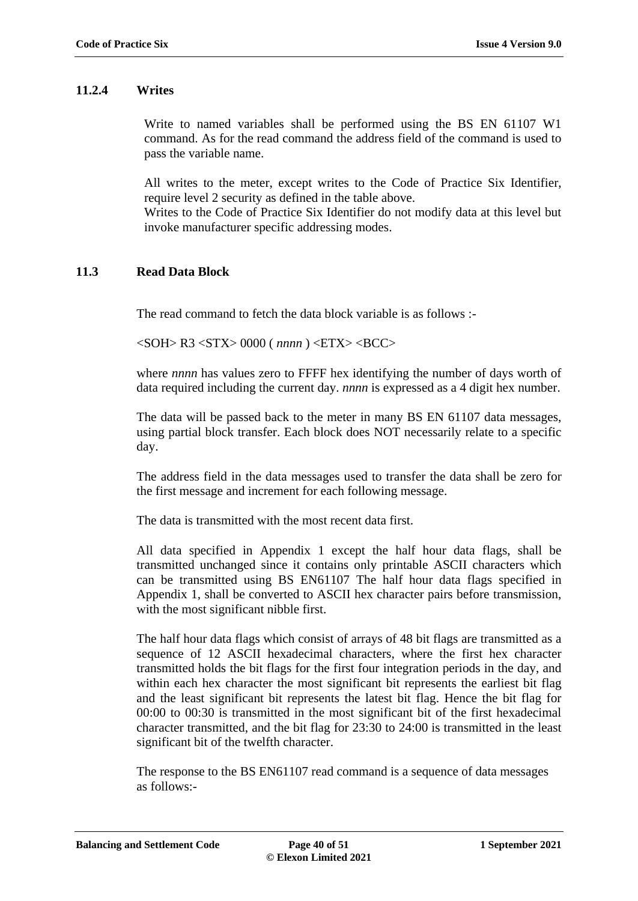#### **11.2.4 Writes**

Write to named variables shall be performed using the BS EN 61107 W1 command. As for the read command the address field of the command is used to pass the variable name.

All writes to the meter, except writes to the Code of Practice Six Identifier, require level 2 security as defined in the table above.

Writes to the Code of Practice Six Identifier do not modify data at this level but invoke manufacturer specific addressing modes.

### <span id="page-39-0"></span>**11.3 Read Data Block**

The read command to fetch the data block variable is as follows :-

<SOH> R3 <STX> 0000 ( *nnnn* ) <ETX> <BCC>

where *nnnn* has values zero to FFFF hex identifying the number of days worth of data required including the current day. *nnnn* is expressed as a 4 digit hex number.

The data will be passed back to the meter in many BS EN 61107 data messages, using partial block transfer. Each block does NOT necessarily relate to a specific day.

The address field in the data messages used to transfer the data shall be zero for the first message and increment for each following message.

The data is transmitted with the most recent data first.

All data specified in Appendix 1 except the half hour data flags, shall be transmitted unchanged since it contains only printable ASCII characters which can be transmitted using BS EN61107 The half hour data flags specified in Appendix 1, shall be converted to ASCII hex character pairs before transmission, with the most significant nibble first.

The half hour data flags which consist of arrays of 48 bit flags are transmitted as a sequence of 12 ASCII hexadecimal characters, where the first hex character transmitted holds the bit flags for the first four integration periods in the day, and within each hex character the most significant bit represents the earliest bit flag and the least significant bit represents the latest bit flag. Hence the bit flag for 00:00 to 00:30 is transmitted in the most significant bit of the first hexadecimal character transmitted, and the bit flag for 23:30 to 24:00 is transmitted in the least significant bit of the twelfth character.

The response to the BS EN61107 read command is a sequence of data messages as follows:-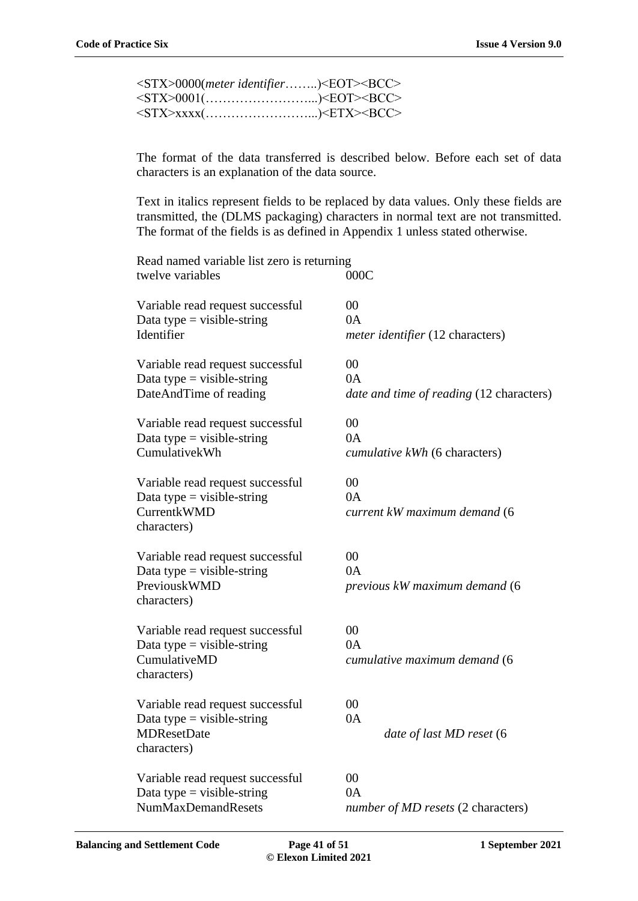| <stx>0000(meter identifier)<eot><bcc></bcc></eot></stx> |  |
|---------------------------------------------------------|--|
| <stx>0001()<eot><bcc></bcc></eot></stx>                 |  |
| <stx>xxxx()<etx><bcc></bcc></etx></stx>                 |  |

The format of the data transferred is described below. Before each set of data characters is an explanation of the data source.

Text in italics represent fields to be replaced by data values. Only these fields are transmitted, the (DLMS packaging) characters in normal text are not transmitted. The format of the fields is as defined in Appendix 1 unless stated otherwise.

| Read named variable list zero is returning<br>twelve variables                                      | 000C                                                 |
|-----------------------------------------------------------------------------------------------------|------------------------------------------------------|
| Variable read request successful<br>Data type = visible-string<br>Identifier                        | 00<br>0A<br>meter identifier (12 characters)         |
| Variable read request successful<br>Data type = visible-string<br>DateAndTime of reading            | 00<br>0A<br>date and time of reading (12 characters) |
| Variable read request successful<br>Data type = visible-string<br>CumulativekWh                     | 00<br>0A<br>cumulative kWh (6 characters)            |
| Variable read request successful<br>Data type = visible-string<br><b>CurrentkWMD</b><br>characters) | 00<br>0A<br>current kW maximum demand (6             |
| Variable read request successful<br>Data type = visible-string<br>PreviouskWMD<br>characters)       | 00<br>0A<br>previous kW maximum demand (6            |
| Variable read request successful<br>Data type = visible-string<br>CumulativeMD<br>characters)       | 00<br>0A<br>cumulative maximum demand (6             |
| Variable read request successful<br>Data type = visible-string<br><b>MDResetDate</b><br>characters) | $00\,$<br>0A<br>date of last MD reset (6             |
| Variable read request successful<br>Data type = visible-string<br><b>NumMaxDemandResets</b>         | $00\,$<br>0A<br>number of MD resets (2 characters)   |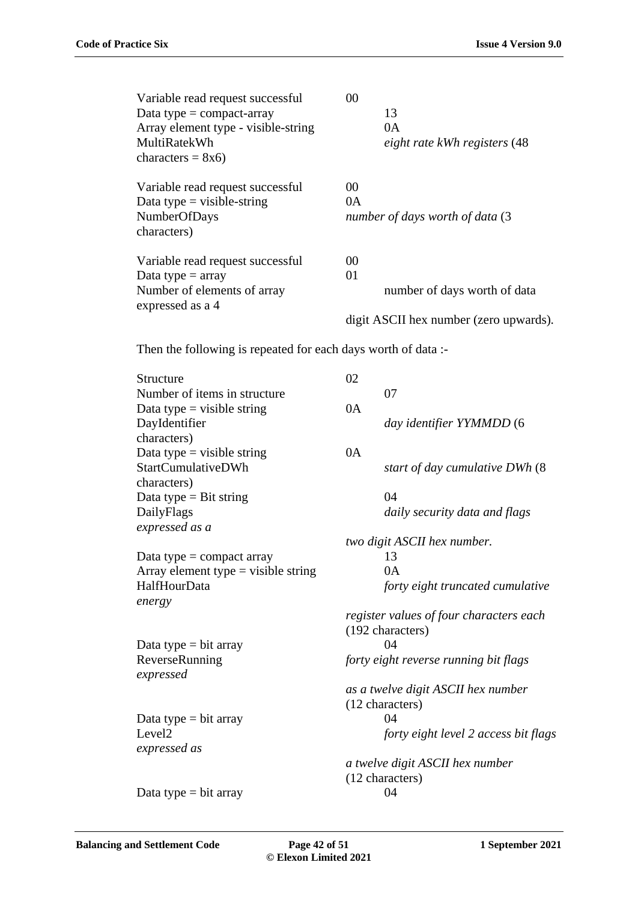| Variable read request successful<br>Data type = $compact$ -array<br>Array element type - visible-string<br>MultiRatekWh<br>characters = $8x6$ ) | 00<br>13<br>0A<br>eight rate kWh registers (48        |
|-------------------------------------------------------------------------------------------------------------------------------------------------|-------------------------------------------------------|
| Variable read request successful<br>Data type = visible-string<br>NumberOfDays<br>characters)                                                   | 00<br>0A<br>number of days worth of data (3           |
| Variable read request successful<br>Data type $=$ array<br>Number of elements of array<br>expressed as a 4                                      | 00<br>01<br>number of days worth of data              |
|                                                                                                                                                 | digit ASCII hex number (zero upwards).                |
| Then the following is repeated for each days worth of data :-                                                                                   |                                                       |
| Structure                                                                                                                                       | 02                                                    |
| Number of items in structure                                                                                                                    | 07                                                    |
| Data type $=$ visible string<br>DayIdentifier                                                                                                   | 0A<br>day identifier YYMMDD (6                        |
| characters)                                                                                                                                     |                                                       |
| Data type = visible string<br>StartCumulativeDWh                                                                                                | 0A<br>start of day cumulative DWh (8)                 |
| characters)                                                                                                                                     |                                                       |
| Data type = Bit string                                                                                                                          | 04                                                    |
| DailyFlags                                                                                                                                      | daily security data and flags                         |
| expressed as a                                                                                                                                  |                                                       |
| Data type $=$ compact array                                                                                                                     | two digit ASCII hex number.<br>13                     |
| Array element type = visible string                                                                                                             | 0A                                                    |
| HalfHourData                                                                                                                                    | forty eight truncated cumulative                      |
| energy                                                                                                                                          | register values of four characters each               |
|                                                                                                                                                 | (192 characters)                                      |
| Data type $=$ bit array                                                                                                                         | 04                                                    |
| ReverseRunning<br>expressed                                                                                                                     | forty eight reverse running bit flags                 |
|                                                                                                                                                 | as a twelve digit ASCII hex number<br>(12 characters) |
| Data type $=$ bit array                                                                                                                         | 04                                                    |
| Level <sub>2</sub>                                                                                                                              | forty eight level 2 access bit flags                  |
| expressed as                                                                                                                                    |                                                       |
|                                                                                                                                                 | a twelve digit ASCII hex number<br>(12 characters)    |
| Data type $=$ bit array                                                                                                                         | 04                                                    |
|                                                                                                                                                 |                                                       |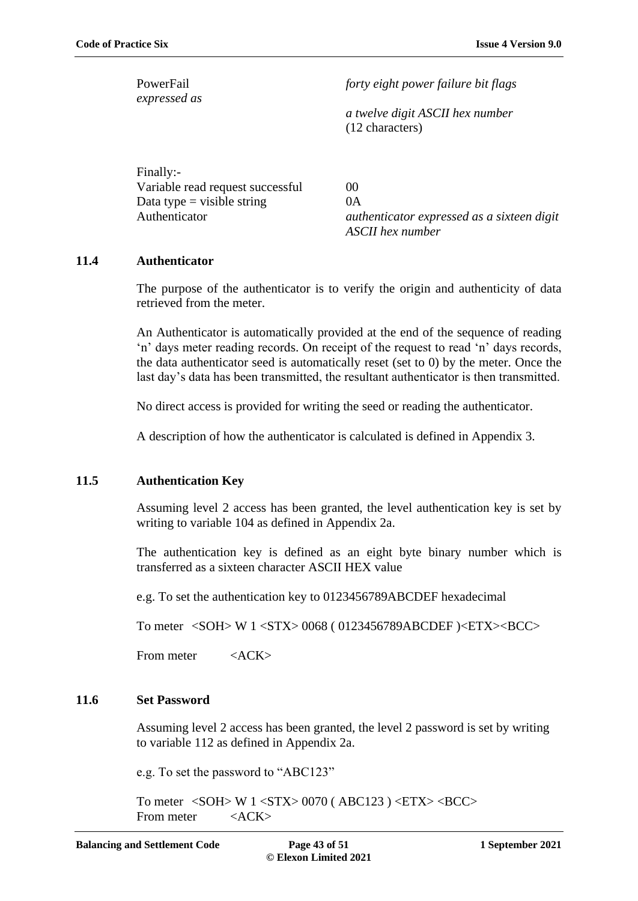*expressed as*

PowerFail *forty eight power failure bit flags* 

*a twelve digit ASCII hex number* (12 characters)

| Finally:-                        |                                            |
|----------------------------------|--------------------------------------------|
| Variable read request successful | (0()                                       |
| Data type = visible string       | 0A                                         |
| Authenticator                    | authenticator expressed as a sixteen digit |
|                                  | ASCII hex number                           |

#### <span id="page-42-0"></span>**11.4 Authenticator**

The purpose of the authenticator is to verify the origin and authenticity of data retrieved from the meter.

An Authenticator is automatically provided at the end of the sequence of reading 'n' days meter reading records. On receipt of the request to read 'n' days records, the data authenticator seed is automatically reset (set to 0) by the meter. Once the last day's data has been transmitted, the resultant authenticator is then transmitted.

No direct access is provided for writing the seed or reading the authenticator.

A description of how the authenticator is calculated is defined in Appendix 3.

### <span id="page-42-1"></span>**11.5 Authentication Key**

Assuming level 2 access has been granted, the level authentication key is set by writing to variable 104 as defined in Appendix 2a.

The authentication key is defined as an eight byte binary number which is transferred as a sixteen character ASCII HEX value

e.g. To set the authentication key to 0123456789ABCDEF hexadecimal

To meter <SOH> W 1 <STX> 0068 ( 0123456789ABCDEF )<ETX><BCC>

From meter <ACK>

#### <span id="page-42-2"></span>**11.6 Set Password**

Assuming level 2 access has been granted, the level 2 password is set by writing to variable 112 as defined in Appendix 2a.

e.g. To set the password to "ABC123"

To meter <SOH> W 1 <STX> 0070 ( ABC123 ) <ETX> <BCC> From meter <ACK>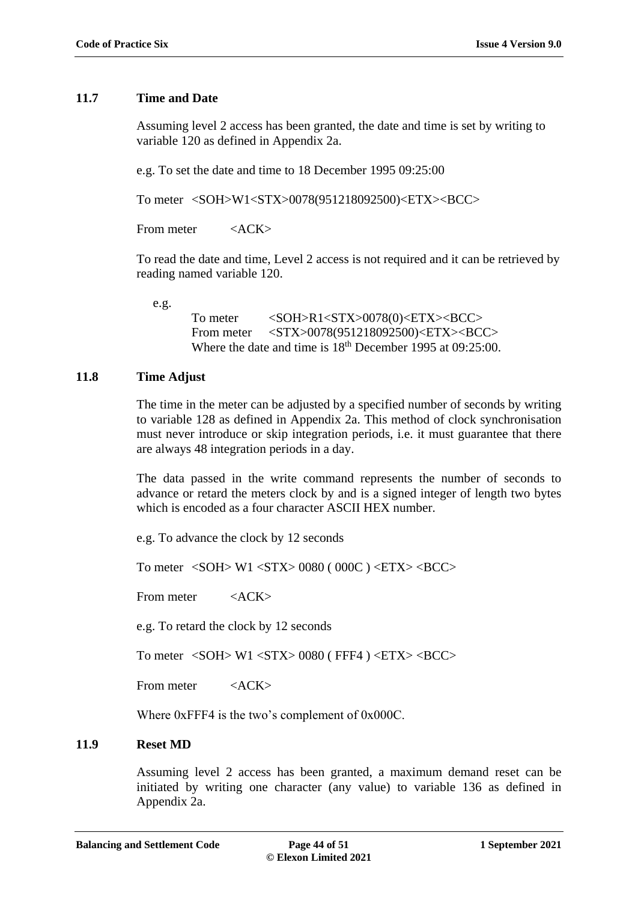#### <span id="page-43-0"></span>**11.7 Time and Date**

Assuming level 2 access has been granted, the date and time is set by writing to variable 120 as defined in Appendix 2a.

e.g. To set the date and time to 18 December 1995 09:25:00

To meter <SOH>W1<STX>0078(951218092500)<ETX><BCC>

From meter <ACK>

To read the date and time, Level 2 access is not required and it can be retrieved by reading named variable 120.

e.g.

To meter <SOH>R1<STX>0078(0)<ETX><BCC> From meter <STX>0078(951218092500)<ETX><BCC> Where the date and time is  $18<sup>th</sup>$  December 1995 at 09:25:00.

### <span id="page-43-1"></span>**11.8 Time Adjust**

The time in the meter can be adjusted by a specified number of seconds by writing to variable 128 as defined in Appendix 2a. This method of clock synchronisation must never introduce or skip integration periods, i.e. it must guarantee that there are always 48 integration periods in a day.

The data passed in the write command represents the number of seconds to advance or retard the meters clock by and is a signed integer of length two bytes which is encoded as a four character ASCII HEX number.

e.g. To advance the clock by 12 seconds

To meter <SOH> W1 <STX> 0080 ( 000C ) <ETX> <BCC>

From meter <ACK>

e.g. To retard the clock by 12 seconds

To meter <SOH> W1 <STX> 0080 ( FFF4 ) <ETX> <BCC>

From meter <ACK>

Where 0xFFF4 is the two's complement of 0x000C.

### <span id="page-43-2"></span>**11.9 Reset MD**

Assuming level 2 access has been granted, a maximum demand reset can be initiated by writing one character (any value) to variable 136 as defined in Appendix 2a.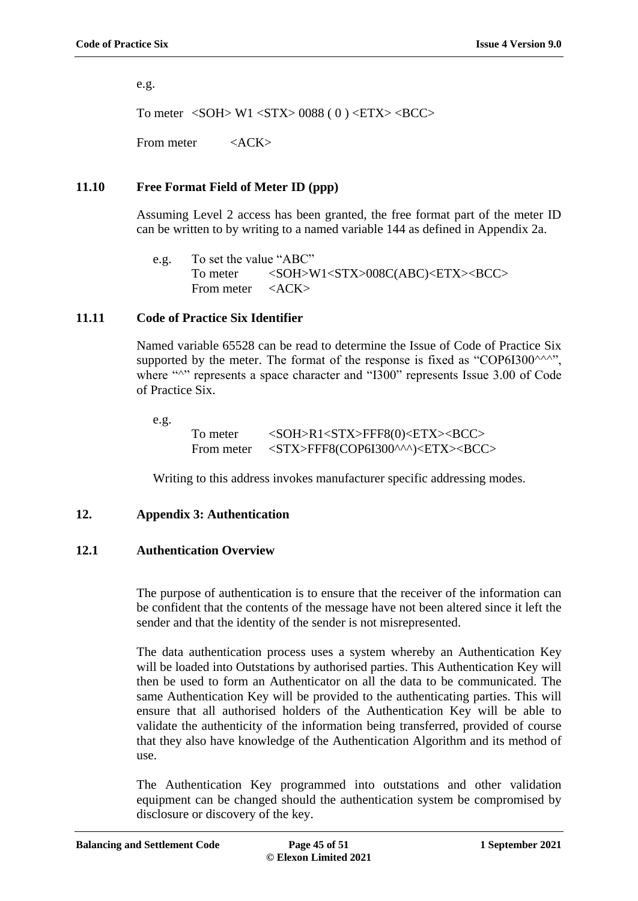e.g.

To meter  $\langle \text{SOH} \rangle$  W1  $\langle \text{STX} \rangle$  0088 ( 0 )  $\langle \text{ETX} \rangle$   $\langle \text{BCC} \rangle$ 

From meter <ACK>

# <span id="page-44-0"></span>**11.10 Free Format Field of Meter ID (ppp)**

Assuming Level 2 access has been granted, the free format part of the meter ID can be written to by writing to a named variable 144 as defined in Appendix 2a.

e.g. To set the value "ABC" To meter <SOH>W1<STX>008C(ABC)<ETX><BCC> From meter <ACK>

# <span id="page-44-1"></span>**11.11 Code of Practice Six Identifier**

Named variable 65528 can be read to determine the Issue of Code of Practice Six supported by the meter. The format of the response is fixed as "COP6I300 $\land\land\land\lor\ldots$ ", where "<sup> $\sim$ </sup>" represents a space character and "I300" represents Issue 3.00 of Code of Practice Six.

e.g.

To meter <SOH>R1<STX>FFF8(0)<ETX><BCC> From meter <STX>FFF8(COP6I300^^^)<ETX><BCC>

Writing to this address invokes manufacturer specific addressing modes.

# **12. Appendix 3: Authentication**

#### <span id="page-44-2"></span>**12.1 Authentication Overview**

The purpose of authentication is to ensure that the receiver of the information can be confident that the contents of the message have not been altered since it left the sender and that the identity of the sender is not misrepresented.

The data authentication process uses a system whereby an Authentication Key will be loaded into Outstations by authorised parties. This Authentication Key will then be used to form an Authenticator on all the data to be communicated. The same Authentication Key will be provided to the authenticating parties. This will ensure that all authorised holders of the Authentication Key will be able to validate the authenticity of the information being transferred, provided of course that they also have knowledge of the Authentication Algorithm and its method of use.

The Authentication Key programmed into outstations and other validation equipment can be changed should the authentication system be compromised by disclosure or discovery of the key.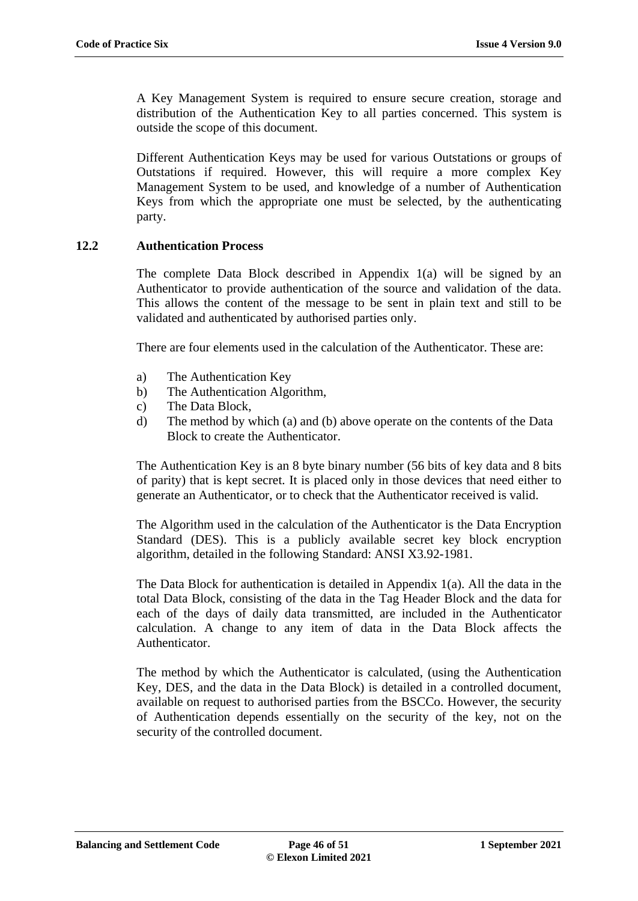A Key Management System is required to ensure secure creation, storage and distribution of the Authentication Key to all parties concerned. This system is outside the scope of this document.

Different Authentication Keys may be used for various Outstations or groups of Outstations if required. However, this will require a more complex Key Management System to be used, and knowledge of a number of Authentication Keys from which the appropriate one must be selected, by the authenticating party.

#### <span id="page-45-0"></span>**12.2 Authentication Process**

The complete Data Block described in Appendix 1(a) will be signed by an Authenticator to provide authentication of the source and validation of the data. This allows the content of the message to be sent in plain text and still to be validated and authenticated by authorised parties only.

There are four elements used in the calculation of the Authenticator. These are:

- a) The Authentication Key
- b) The Authentication Algorithm,
- c) The Data Block,
- d) The method by which (a) and (b) above operate on the contents of the Data Block to create the Authenticator.

The Authentication Key is an 8 byte binary number (56 bits of key data and 8 bits of parity) that is kept secret. It is placed only in those devices that need either to generate an Authenticator, or to check that the Authenticator received is valid.

The Algorithm used in the calculation of the Authenticator is the Data Encryption Standard (DES). This is a publicly available secret key block encryption algorithm, detailed in the following Standard: ANSI X3.92-1981.

The Data Block for authentication is detailed in Appendix 1(a). All the data in the total Data Block, consisting of the data in the Tag Header Block and the data for each of the days of daily data transmitted, are included in the Authenticator calculation. A change to any item of data in the Data Block affects the Authenticator.

The method by which the Authenticator is calculated, (using the Authentication Key, DES, and the data in the Data Block) is detailed in a controlled document, available on request to authorised parties from the BSCCo. However, the security of Authentication depends essentially on the security of the key, not on the security of the controlled document.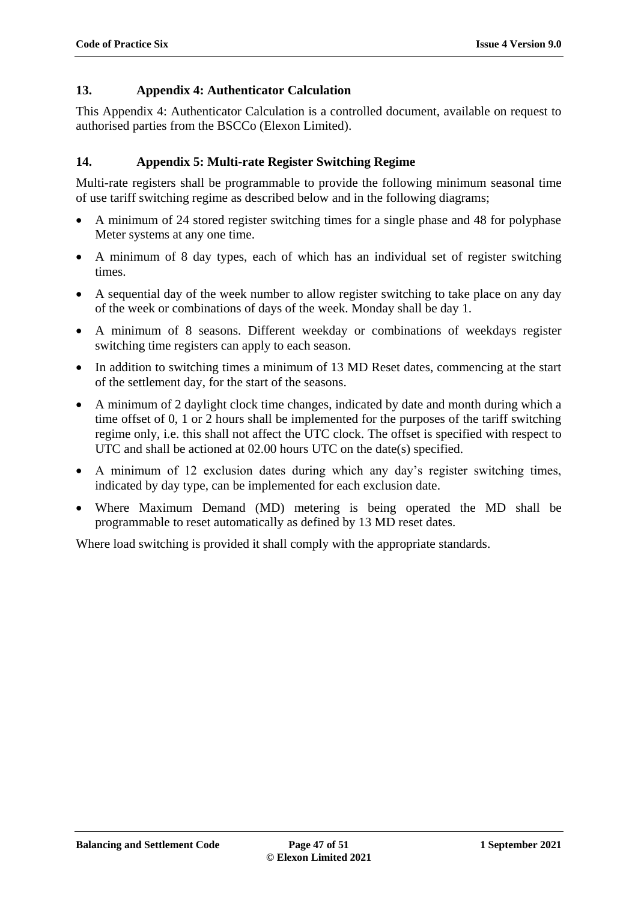# **13. Appendix 4: Authenticator Calculation**

This Appendix 4: Authenticator Calculation is a controlled document, available on request to authorised parties from the BSCCo (Elexon Limited).

# **14. Appendix 5: Multi-rate Register Switching Regime**

Multi-rate registers shall be programmable to provide the following minimum seasonal time of use tariff switching regime as described below and in the following diagrams;

- A minimum of 24 stored register switching times for a single phase and 48 for polyphase Meter systems at any one time.
- A minimum of 8 day types, each of which has an individual set of register switching times.
- A sequential day of the week number to allow register switching to take place on any day of the week or combinations of days of the week. Monday shall be day 1.
- A minimum of 8 seasons. Different weekday or combinations of weekdays register switching time registers can apply to each season.
- In addition to switching times a minimum of 13 MD Reset dates, commencing at the start of the settlement day, for the start of the seasons.
- A minimum of 2 daylight clock time changes, indicated by date and month during which a time offset of 0, 1 or 2 hours shall be implemented for the purposes of the tariff switching regime only, i.e. this shall not affect the UTC clock. The offset is specified with respect to UTC and shall be actioned at 02.00 hours UTC on the date(s) specified.
- A minimum of 12 exclusion dates during which any day's register switching times, indicated by day type, can be implemented for each exclusion date.
- Where Maximum Demand (MD) metering is being operated the MD shall be programmable to reset automatically as defined by 13 MD reset dates.

Where load switching is provided it shall comply with the appropriate standards.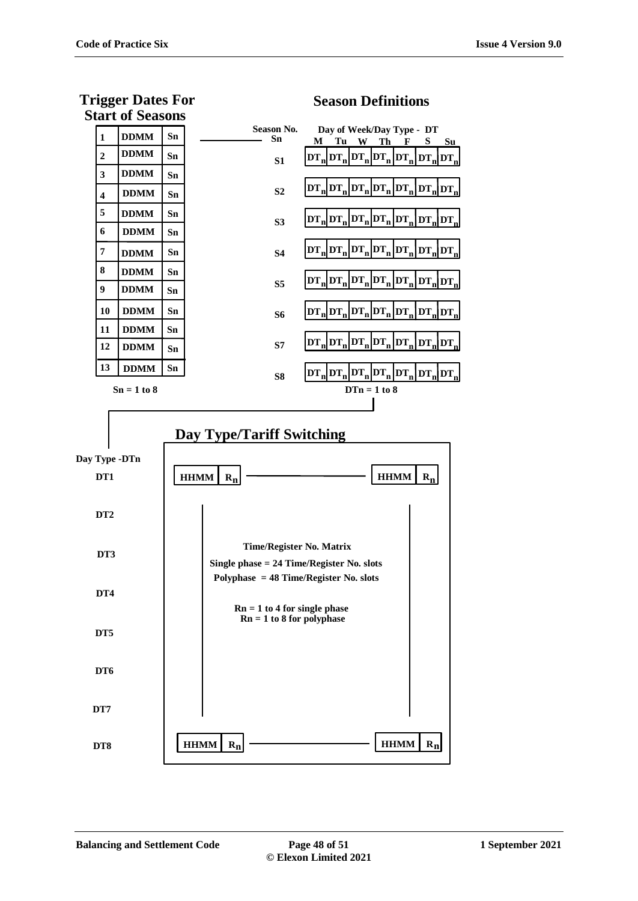**Season Definitions**



# **Trigger Dates For Start of Seasons**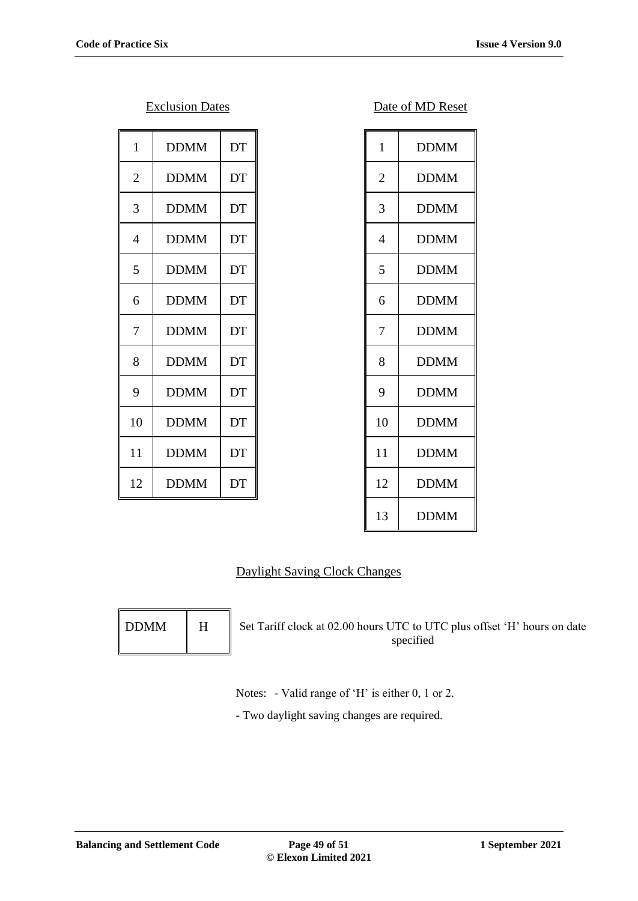| 1              | <b>DDMM</b> | DT | $\mathbf{1}$   | <b>DDMM</b> |
|----------------|-------------|----|----------------|-------------|
| $\overline{2}$ | <b>DDMM</b> | DT | $\overline{2}$ | <b>DDMM</b> |
| 3              | <b>DDMM</b> | DT | 3              | <b>DDMM</b> |
| 4              | <b>DDMM</b> | DT | $\overline{4}$ | <b>DDMM</b> |
| 5              | <b>DDMM</b> | DT | 5              | <b>DDMM</b> |
| 6              | <b>DDMM</b> | DT | 6              | <b>DDMM</b> |
| 7              | <b>DDMM</b> | DT | $\overline{7}$ | <b>DDMM</b> |
| 8              | <b>DDMM</b> | DT | 8              | <b>DDMM</b> |
| 9              | <b>DDMM</b> | DT | 9              | <b>DDMM</b> |
| 10             | <b>DDMM</b> | DT | 10             | <b>DDMM</b> |
| 11             | <b>DDMM</b> | DT | 11             | <b>DDMM</b> |
| 12             | <b>DDMM</b> | DT | 12             | <b>DDMM</b> |
|                |             |    |                |             |

| <b>Exclusion Dates</b> | Date of MD Reset |
|------------------------|------------------|
|------------------------|------------------|

| $\mathbf{1}$   | <b>DDMM</b> |
|----------------|-------------|
| $\overline{2}$ | <b>DDMM</b> |
| 3              | <b>DDMM</b> |
| $\overline{4}$ | <b>DDMM</b> |
| 5              | <b>DDMM</b> |
| 6              | <b>DDMM</b> |
| 7              | <b>DDMM</b> |
| 8              | <b>DDMM</b> |
| 9              | <b>DDMM</b> |
| 10             | <b>DDMM</b> |
| 11             | <b>DDMM</b> |
| 12             | <b>DDMM</b> |
| 13             | <b>DDMM</b> |

# Daylight Saving Clock Changes

| <b>DDMM</b> | H |
|-------------|---|
|             |   |

Set Tariff clock at 02.00 hours UTC to UTC plus offset 'H' hours on date specified

Notes: - Valid range of 'H' is either 0, 1 or 2.

- Two daylight saving changes are required.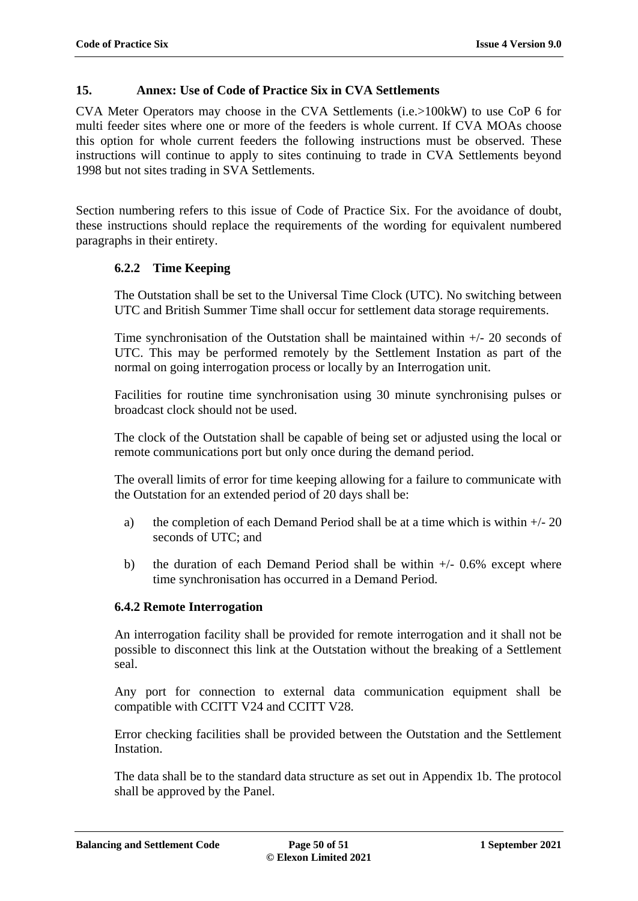# **15. Annex: Use of Code of Practice Six in CVA Settlements**

CVA Meter Operators may choose in the CVA Settlements (i.e.>100kW) to use CoP 6 for multi feeder sites where one or more of the feeders is whole current. If CVA MOAs choose this option for whole current feeders the following instructions must be observed. These instructions will continue to apply to sites continuing to trade in CVA Settlements beyond 1998 but not sites trading in SVA Settlements.

Section numbering refers to this issue of Code of Practice Six. For the avoidance of doubt, these instructions should replace the requirements of the wording for equivalent numbered paragraphs in their entirety.

# **6.2.2 Time Keeping**

The Outstation shall be set to the Universal Time Clock (UTC). No switching between UTC and British Summer Time shall occur for settlement data storage requirements.

Time synchronisation of the Outstation shall be maintained within +/- 20 seconds of UTC. This may be performed remotely by the Settlement Instation as part of the normal on going interrogation process or locally by an Interrogation unit.

Facilities for routine time synchronisation using 30 minute synchronising pulses or broadcast clock should not be used.

The clock of the Outstation shall be capable of being set or adjusted using the local or remote communications port but only once during the demand period.

The overall limits of error for time keeping allowing for a failure to communicate with the Outstation for an extended period of 20 days shall be:

- a) the completion of each Demand Period shall be at a time which is within  $+/- 20$ seconds of UTC; and
- b) the duration of each Demand Period shall be within  $+/-0.6\%$  except where time synchronisation has occurred in a Demand Period.

# **6.4.2 Remote Interrogation**

An interrogation facility shall be provided for remote interrogation and it shall not be possible to disconnect this link at the Outstation without the breaking of a Settlement seal.

Any port for connection to external data communication equipment shall be compatible with CCITT V24 and CCITT V28.

Error checking facilities shall be provided between the Outstation and the Settlement Instation.

The data shall be to the standard data structure as set out in Appendix 1b. The protocol shall be approved by the Panel.

**Balancing and Settlement Code Page 50 of 51 1 September 2021**